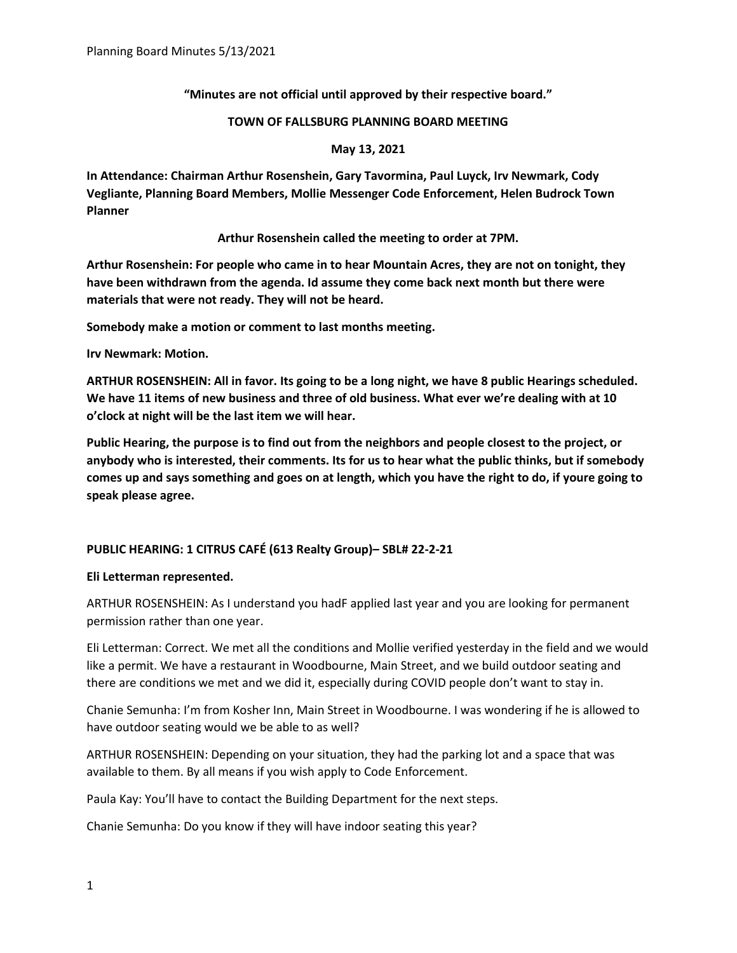## **"Minutes are not official until approved by their respective board."**

### **TOWN OF FALLSBURG PLANNING BOARD MEETING**

### **May 13, 2021**

**In Attendance: Chairman Arthur Rosenshein, Gary Tavormina, Paul Luyck, Irv Newmark, Cody Vegliante, Planning Board Members, Mollie Messenger Code Enforcement, Helen Budrock Town Planner**

## **Arthur Rosenshein called the meeting to order at 7PM.**

**Arthur Rosenshein: For people who came in to hear Mountain Acres, they are not on tonight, they have been withdrawn from the agenda. Id assume they come back next month but there were materials that were not ready. They will not be heard.**

**Somebody make a motion or comment to last months meeting.**

**Irv Newmark: Motion.**

**ARTHUR ROSENSHEIN: All in favor. Its going to be a long night, we have 8 public Hearings scheduled. We have 11 items of new business and three of old business. What ever we're dealing with at 10 o'clock at night will be the last item we will hear.** 

**Public Hearing, the purpose is to find out from the neighbors and people closest to the project, or anybody who is interested, their comments. Its for us to hear what the public thinks, but if somebody comes up and says something and goes on at length, which you have the right to do, if youre going to speak please agree.**

## **PUBLIC HEARING: 1 CITRUS CAFÉ (613 Realty Group)– SBL# 22-2-21**

## **Eli Letterman represented.**

ARTHUR ROSENSHEIN: As I understand you hadF applied last year and you are looking for permanent permission rather than one year.

Eli Letterman: Correct. We met all the conditions and Mollie verified yesterday in the field and we would like a permit. We have a restaurant in Woodbourne, Main Street, and we build outdoor seating and there are conditions we met and we did it, especially during COVID people don't want to stay in.

Chanie Semunha: I'm from Kosher Inn, Main Street in Woodbourne. I was wondering if he is allowed to have outdoor seating would we be able to as well?

ARTHUR ROSENSHEIN: Depending on your situation, they had the parking lot and a space that was available to them. By all means if you wish apply to Code Enforcement.

Paula Kay: You'll have to contact the Building Department for the next steps.

Chanie Semunha: Do you know if they will have indoor seating this year?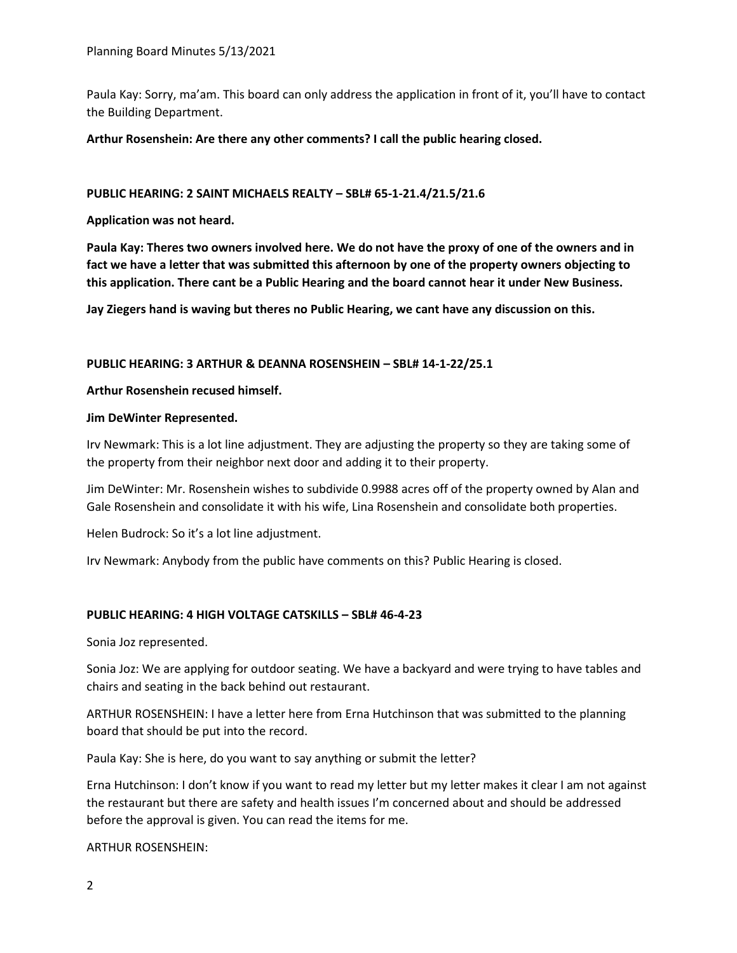Paula Kay: Sorry, ma'am. This board can only address the application in front of it, you'll have to contact the Building Department.

**Arthur Rosenshein: Are there any other comments? I call the public hearing closed.**

### **PUBLIC HEARING: 2 SAINT MICHAELS REALTY – SBL# 65-1-21.4/21.5/21.6**

**Application was not heard.** 

**Paula Kay: Theres two owners involved here. We do not have the proxy of one of the owners and in fact we have a letter that was submitted this afternoon by one of the property owners objecting to this application. There cant be a Public Hearing and the board cannot hear it under New Business.**

**Jay Ziegers hand is waving but theres no Public Hearing, we cant have any discussion on this.** 

### **PUBLIC HEARING: 3 ARTHUR & DEANNA ROSENSHEIN – SBL# 14-1-22/25.1**

### **Arthur Rosenshein recused himself.**

### **Jim DeWinter Represented.**

Irv Newmark: This is a lot line adjustment. They are adjusting the property so they are taking some of the property from their neighbor next door and adding it to their property.

Jim DeWinter: Mr. Rosenshein wishes to subdivide 0.9988 acres off of the property owned by Alan and Gale Rosenshein and consolidate it with his wife, Lina Rosenshein and consolidate both properties.

Helen Budrock: So it's a lot line adjustment.

Irv Newmark: Anybody from the public have comments on this? Public Hearing is closed.

## **PUBLIC HEARING: 4 HIGH VOLTAGE CATSKILLS – SBL# 46-4-23**

Sonia Joz represented.

Sonia Joz: We are applying for outdoor seating. We have a backyard and were trying to have tables and chairs and seating in the back behind out restaurant.

ARTHUR ROSENSHEIN: I have a letter here from Erna Hutchinson that was submitted to the planning board that should be put into the record.

Paula Kay: She is here, do you want to say anything or submit the letter?

Erna Hutchinson: I don't know if you want to read my letter but my letter makes it clear I am not against the restaurant but there are safety and health issues I'm concerned about and should be addressed before the approval is given. You can read the items for me.

ARTHUR ROSENSHEIN: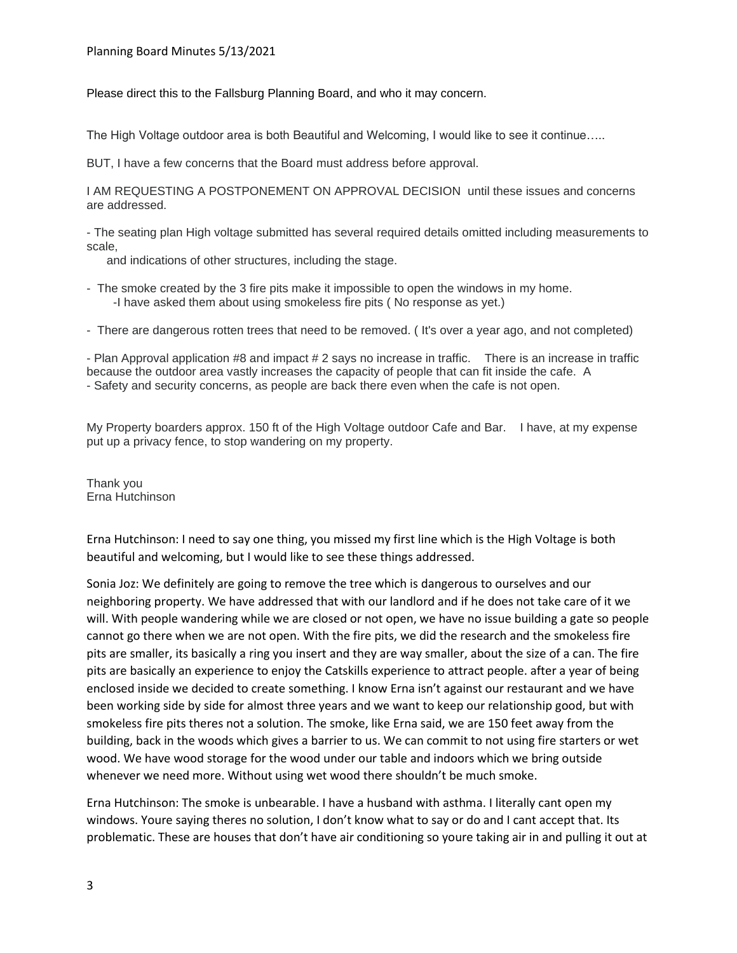Please direct this to the Fallsburg Planning Board, and who it may concern.

The High Voltage outdoor area is both Beautiful and Welcoming, I would like to see it continue…..

BUT, I have a few concerns that the Board must address before approval.

I AM REQUESTING A POSTPONEMENT ON APPROVAL DECISION until these issues and concerns are addressed.

- The seating plan High voltage submitted has several required details omitted including measurements to scale,

and indications of other structures, including the stage.

- The smoke created by the 3 fire pits make it impossible to open the windows in my home. -I have asked them about using smokeless fire pits ( No response as yet.)
- There are dangerous rotten trees that need to be removed. ( It's over a year ago, and not completed)

- Plan Approval application #8 and impact # 2 says no increase in traffic. There is an increase in traffic because the outdoor area vastly increases the capacity of people that can fit inside the cafe. A - Safety and security concerns, as people are back there even when the cafe is not open.

My Property boarders approx. 150 ft of the High Voltage outdoor Cafe and Bar. I have, at my expense put up a privacy fence, to stop wandering on my property.

Thank you Erna Hutchinson

Erna Hutchinson: I need to say one thing, you missed my first line which is the High Voltage is both beautiful and welcoming, but I would like to see these things addressed.

Sonia Joz: We definitely are going to remove the tree which is dangerous to ourselves and our neighboring property. We have addressed that with our landlord and if he does not take care of it we will. With people wandering while we are closed or not open, we have no issue building a gate so people cannot go there when we are not open. With the fire pits, we did the research and the smokeless fire pits are smaller, its basically a ring you insert and they are way smaller, about the size of a can. The fire pits are basically an experience to enjoy the Catskills experience to attract people. after a year of being enclosed inside we decided to create something. I know Erna isn't against our restaurant and we have been working side by side for almost three years and we want to keep our relationship good, but with smokeless fire pits theres not a solution. The smoke, like Erna said, we are 150 feet away from the building, back in the woods which gives a barrier to us. We can commit to not using fire starters or wet wood. We have wood storage for the wood under our table and indoors which we bring outside whenever we need more. Without using wet wood there shouldn't be much smoke.

Erna Hutchinson: The smoke is unbearable. I have a husband with asthma. I literally cant open my windows. Youre saying theres no solution, I don't know what to say or do and I cant accept that. Its problematic. These are houses that don't have air conditioning so youre taking air in and pulling it out at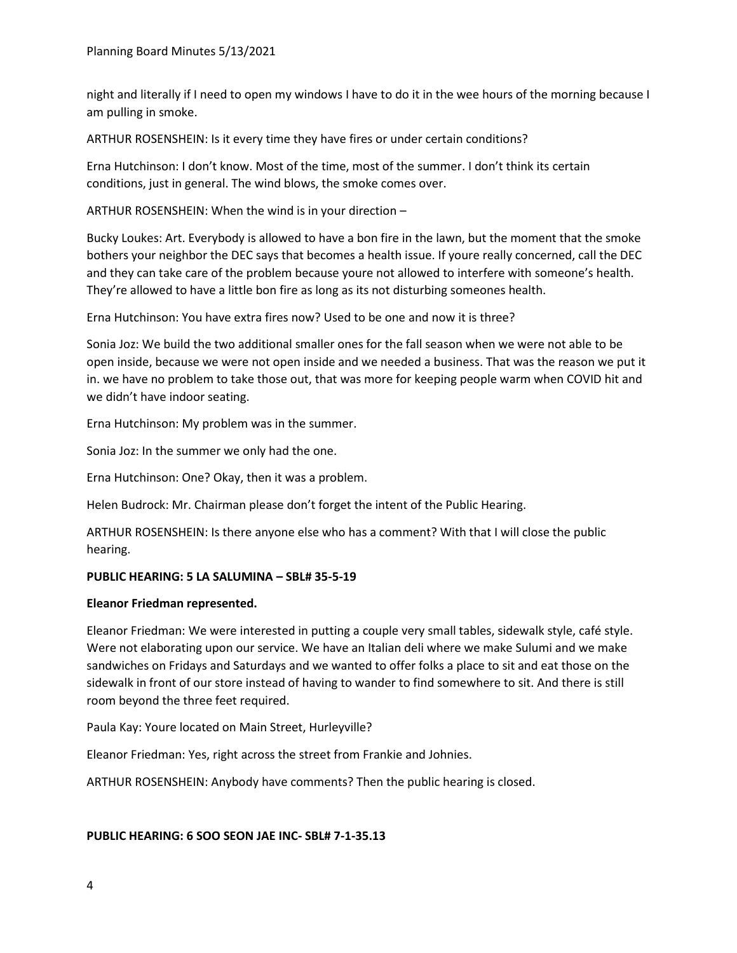night and literally if I need to open my windows I have to do it in the wee hours of the morning because I am pulling in smoke.

ARTHUR ROSENSHEIN: Is it every time they have fires or under certain conditions?

Erna Hutchinson: I don't know. Most of the time, most of the summer. I don't think its certain conditions, just in general. The wind blows, the smoke comes over.

ARTHUR ROSENSHEIN: When the wind is in your direction –

Bucky Loukes: Art. Everybody is allowed to have a bon fire in the lawn, but the moment that the smoke bothers your neighbor the DEC says that becomes a health issue. If youre really concerned, call the DEC and they can take care of the problem because youre not allowed to interfere with someone's health. They're allowed to have a little bon fire as long as its not disturbing someones health.

Erna Hutchinson: You have extra fires now? Used to be one and now it is three?

Sonia Joz: We build the two additional smaller ones for the fall season when we were not able to be open inside, because we were not open inside and we needed a business. That was the reason we put it in. we have no problem to take those out, that was more for keeping people warm when COVID hit and we didn't have indoor seating.

Erna Hutchinson: My problem was in the summer.

Sonia Joz: In the summer we only had the one.

Erna Hutchinson: One? Okay, then it was a problem.

Helen Budrock: Mr. Chairman please don't forget the intent of the Public Hearing.

ARTHUR ROSENSHEIN: Is there anyone else who has a comment? With that I will close the public hearing.

## **PUBLIC HEARING: 5 LA SALUMINA – SBL# 35-5-19**

#### **Eleanor Friedman represented.**

Eleanor Friedman: We were interested in putting a couple very small tables, sidewalk style, café style. Were not elaborating upon our service. We have an Italian deli where we make Sulumi and we make sandwiches on Fridays and Saturdays and we wanted to offer folks a place to sit and eat those on the sidewalk in front of our store instead of having to wander to find somewhere to sit. And there is still room beyond the three feet required.

Paula Kay: Youre located on Main Street, Hurleyville?

Eleanor Friedman: Yes, right across the street from Frankie and Johnies.

ARTHUR ROSENSHEIN: Anybody have comments? Then the public hearing is closed.

#### **PUBLIC HEARING: 6 SOO SEON JAE INC- SBL# 7-1-35.13**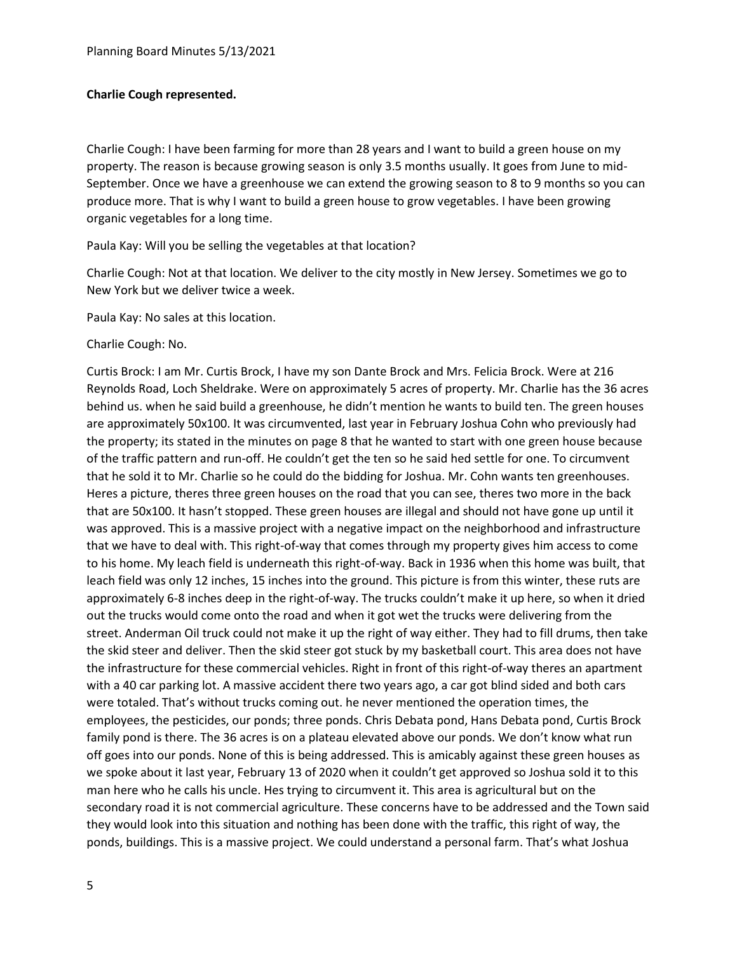## **Charlie Cough represented.**

Charlie Cough: I have been farming for more than 28 years and I want to build a green house on my property. The reason is because growing season is only 3.5 months usually. It goes from June to mid-September. Once we have a greenhouse we can extend the growing season to 8 to 9 months so you can produce more. That is why I want to build a green house to grow vegetables. I have been growing organic vegetables for a long time.

Paula Kay: Will you be selling the vegetables at that location?

Charlie Cough: Not at that location. We deliver to the city mostly in New Jersey. Sometimes we go to New York but we deliver twice a week.

Paula Kay: No sales at this location.

Charlie Cough: No.

Curtis Brock: I am Mr. Curtis Brock, I have my son Dante Brock and Mrs. Felicia Brock. Were at 216 Reynolds Road, Loch Sheldrake. Were on approximately 5 acres of property. Mr. Charlie has the 36 acres behind us. when he said build a greenhouse, he didn't mention he wants to build ten. The green houses are approximately 50x100. It was circumvented, last year in February Joshua Cohn who previously had the property; its stated in the minutes on page 8 that he wanted to start with one green house because of the traffic pattern and run-off. He couldn't get the ten so he said hed settle for one. To circumvent that he sold it to Mr. Charlie so he could do the bidding for Joshua. Mr. Cohn wants ten greenhouses. Heres a picture, theres three green houses on the road that you can see, theres two more in the back that are 50x100. It hasn't stopped. These green houses are illegal and should not have gone up until it was approved. This is a massive project with a negative impact on the neighborhood and infrastructure that we have to deal with. This right-of-way that comes through my property gives him access to come to his home. My leach field is underneath this right-of-way. Back in 1936 when this home was built, that leach field was only 12 inches, 15 inches into the ground. This picture is from this winter, these ruts are approximately 6-8 inches deep in the right-of-way. The trucks couldn't make it up here, so when it dried out the trucks would come onto the road and when it got wet the trucks were delivering from the street. Anderman Oil truck could not make it up the right of way either. They had to fill drums, then take the skid steer and deliver. Then the skid steer got stuck by my basketball court. This area does not have the infrastructure for these commercial vehicles. Right in front of this right-of-way theres an apartment with a 40 car parking lot. A massive accident there two years ago, a car got blind sided and both cars were totaled. That's without trucks coming out. he never mentioned the operation times, the employees, the pesticides, our ponds; three ponds. Chris Debata pond, Hans Debata pond, Curtis Brock family pond is there. The 36 acres is on a plateau elevated above our ponds. We don't know what run off goes into our ponds. None of this is being addressed. This is amicably against these green houses as we spoke about it last year, February 13 of 2020 when it couldn't get approved so Joshua sold it to this man here who he calls his uncle. Hes trying to circumvent it. This area is agricultural but on the secondary road it is not commercial agriculture. These concerns have to be addressed and the Town said they would look into this situation and nothing has been done with the traffic, this right of way, the ponds, buildings. This is a massive project. We could understand a personal farm. That's what Joshua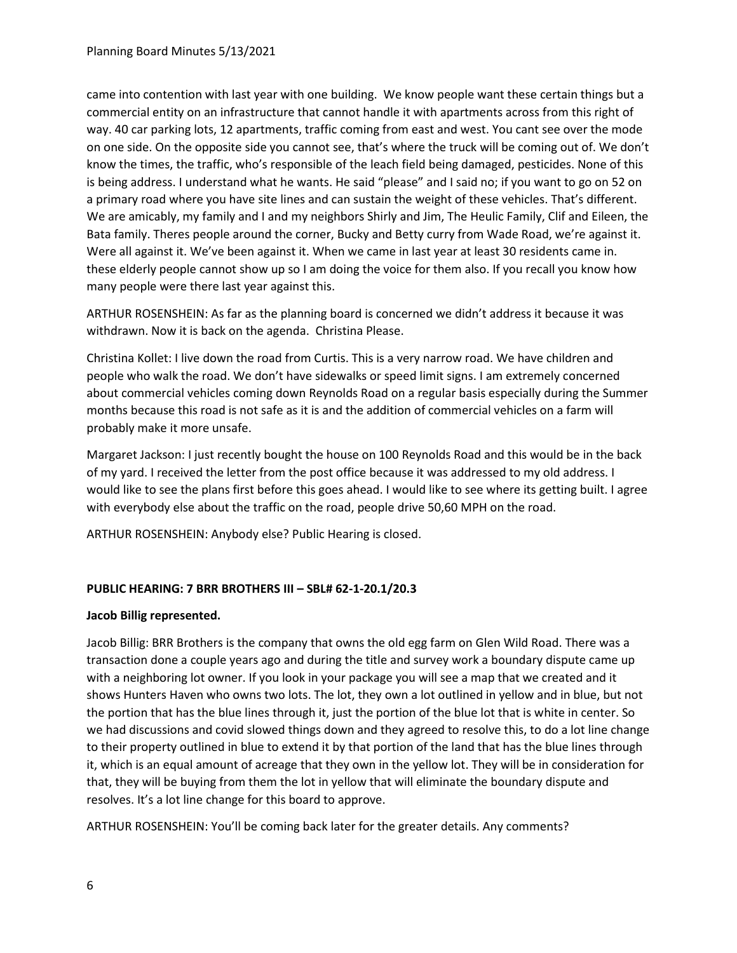came into contention with last year with one building. We know people want these certain things but a commercial entity on an infrastructure that cannot handle it with apartments across from this right of way. 40 car parking lots, 12 apartments, traffic coming from east and west. You cant see over the mode on one side. On the opposite side you cannot see, that's where the truck will be coming out of. We don't know the times, the traffic, who's responsible of the leach field being damaged, pesticides. None of this is being address. I understand what he wants. He said "please" and I said no; if you want to go on 52 on a primary road where you have site lines and can sustain the weight of these vehicles. That's different. We are amicably, my family and I and my neighbors Shirly and Jim, The Heulic Family, Clif and Eileen, the Bata family. Theres people around the corner, Bucky and Betty curry from Wade Road, we're against it. Were all against it. We've been against it. When we came in last year at least 30 residents came in. these elderly people cannot show up so I am doing the voice for them also. If you recall you know how many people were there last year against this.

ARTHUR ROSENSHEIN: As far as the planning board is concerned we didn't address it because it was withdrawn. Now it is back on the agenda. Christina Please.

Christina Kollet: I live down the road from Curtis. This is a very narrow road. We have children and people who walk the road. We don't have sidewalks or speed limit signs. I am extremely concerned about commercial vehicles coming down Reynolds Road on a regular basis especially during the Summer months because this road is not safe as it is and the addition of commercial vehicles on a farm will probably make it more unsafe.

Margaret Jackson: I just recently bought the house on 100 Reynolds Road and this would be in the back of my yard. I received the letter from the post office because it was addressed to my old address. I would like to see the plans first before this goes ahead. I would like to see where its getting built. I agree with everybody else about the traffic on the road, people drive 50,60 MPH on the road.

ARTHUR ROSENSHEIN: Anybody else? Public Hearing is closed.

# **PUBLIC HEARING: 7 BRR BROTHERS III – SBL# 62-1-20.1/20.3**

## **Jacob Billig represented.**

Jacob Billig: BRR Brothers is the company that owns the old egg farm on Glen Wild Road. There was a transaction done a couple years ago and during the title and survey work a boundary dispute came up with a neighboring lot owner. If you look in your package you will see a map that we created and it shows Hunters Haven who owns two lots. The lot, they own a lot outlined in yellow and in blue, but not the portion that has the blue lines through it, just the portion of the blue lot that is white in center. So we had discussions and covid slowed things down and they agreed to resolve this, to do a lot line change to their property outlined in blue to extend it by that portion of the land that has the blue lines through it, which is an equal amount of acreage that they own in the yellow lot. They will be in consideration for that, they will be buying from them the lot in yellow that will eliminate the boundary dispute and resolves. It's a lot line change for this board to approve.

ARTHUR ROSENSHEIN: You'll be coming back later for the greater details. Any comments?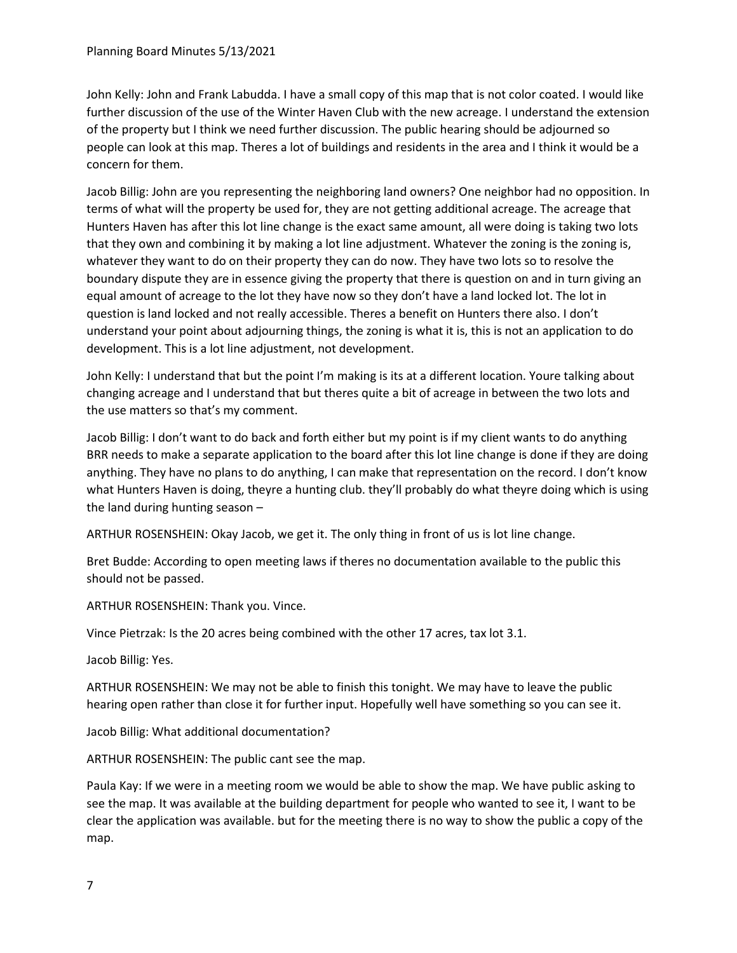John Kelly: John and Frank Labudda. I have a small copy of this map that is not color coated. I would like further discussion of the use of the Winter Haven Club with the new acreage. I understand the extension of the property but I think we need further discussion. The public hearing should be adjourned so people can look at this map. Theres a lot of buildings and residents in the area and I think it would be a concern for them.

Jacob Billig: John are you representing the neighboring land owners? One neighbor had no opposition. In terms of what will the property be used for, they are not getting additional acreage. The acreage that Hunters Haven has after this lot line change is the exact same amount, all were doing is taking two lots that they own and combining it by making a lot line adjustment. Whatever the zoning is the zoning is, whatever they want to do on their property they can do now. They have two lots so to resolve the boundary dispute they are in essence giving the property that there is question on and in turn giving an equal amount of acreage to the lot they have now so they don't have a land locked lot. The lot in question is land locked and not really accessible. Theres a benefit on Hunters there also. I don't understand your point about adjourning things, the zoning is what it is, this is not an application to do development. This is a lot line adjustment, not development.

John Kelly: I understand that but the point I'm making is its at a different location. Youre talking about changing acreage and I understand that but theres quite a bit of acreage in between the two lots and the use matters so that's my comment.

Jacob Billig: I don't want to do back and forth either but my point is if my client wants to do anything BRR needs to make a separate application to the board after this lot line change is done if they are doing anything. They have no plans to do anything, I can make that representation on the record. I don't know what Hunters Haven is doing, theyre a hunting club. they'll probably do what theyre doing which is using the land during hunting season –

ARTHUR ROSENSHEIN: Okay Jacob, we get it. The only thing in front of us is lot line change.

Bret Budde: According to open meeting laws if theres no documentation available to the public this should not be passed.

ARTHUR ROSENSHEIN: Thank you. Vince.

Vince Pietrzak: Is the 20 acres being combined with the other 17 acres, tax lot 3.1.

Jacob Billig: Yes.

ARTHUR ROSENSHEIN: We may not be able to finish this tonight. We may have to leave the public hearing open rather than close it for further input. Hopefully well have something so you can see it.

Jacob Billig: What additional documentation?

ARTHUR ROSENSHEIN: The public cant see the map.

Paula Kay: If we were in a meeting room we would be able to show the map. We have public asking to see the map. It was available at the building department for people who wanted to see it, I want to be clear the application was available. but for the meeting there is no way to show the public a copy of the map.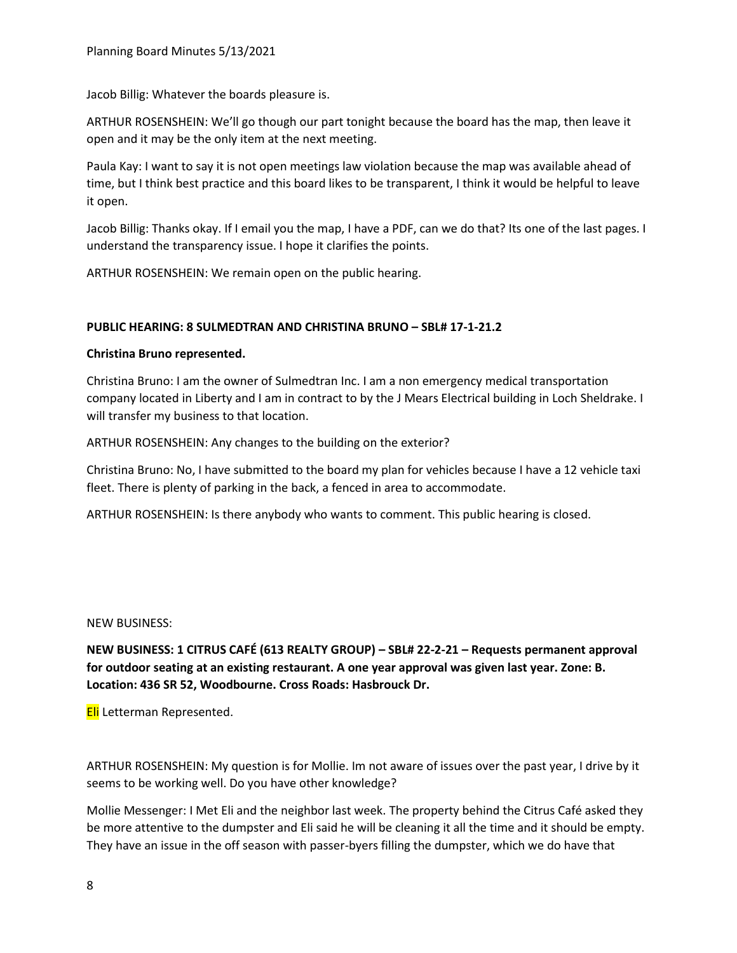Jacob Billig: Whatever the boards pleasure is.

ARTHUR ROSENSHEIN: We'll go though our part tonight because the board has the map, then leave it open and it may be the only item at the next meeting.

Paula Kay: I want to say it is not open meetings law violation because the map was available ahead of time, but I think best practice and this board likes to be transparent, I think it would be helpful to leave it open.

Jacob Billig: Thanks okay. If I email you the map, I have a PDF, can we do that? Its one of the last pages. I understand the transparency issue. I hope it clarifies the points.

ARTHUR ROSENSHEIN: We remain open on the public hearing.

### **PUBLIC HEARING: 8 SULMEDTRAN AND CHRISTINA BRUNO – SBL# 17-1-21.2**

### **Christina Bruno represented.**

Christina Bruno: I am the owner of Sulmedtran Inc. I am a non emergency medical transportation company located in Liberty and I am in contract to by the J Mears Electrical building in Loch Sheldrake. I will transfer my business to that location.

ARTHUR ROSENSHEIN: Any changes to the building on the exterior?

Christina Bruno: No, I have submitted to the board my plan for vehicles because I have a 12 vehicle taxi fleet. There is plenty of parking in the back, a fenced in area to accommodate.

ARTHUR ROSENSHEIN: Is there anybody who wants to comment. This public hearing is closed.

NEW BUSINESS:

**NEW BUSINESS: 1 CITRUS CAFÉ (613 REALTY GROUP) – SBL# 22-2-21 – Requests permanent approval for outdoor seating at an existing restaurant. A one year approval was given last year. Zone: B. Location: 436 SR 52, Woodbourne. Cross Roads: Hasbrouck Dr.**

**Eli** Letterman Represented.

ARTHUR ROSENSHEIN: My question is for Mollie. Im not aware of issues over the past year, I drive by it seems to be working well. Do you have other knowledge?

Mollie Messenger: I Met Eli and the neighbor last week. The property behind the Citrus Café asked they be more attentive to the dumpster and Eli said he will be cleaning it all the time and it should be empty. They have an issue in the off season with passer-byers filling the dumpster, which we do have that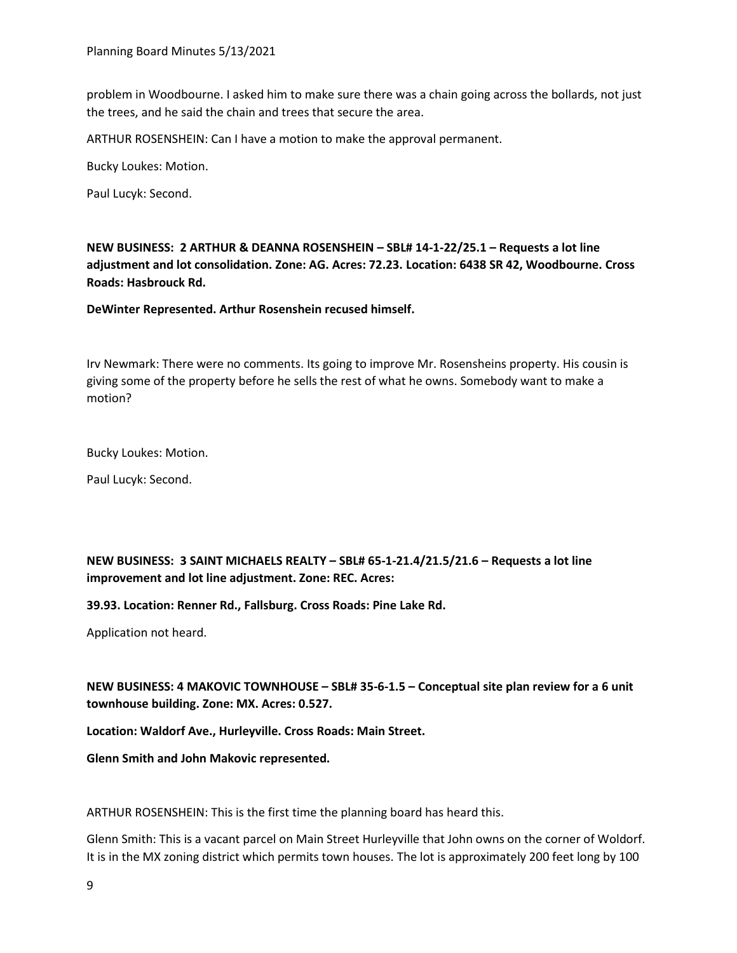problem in Woodbourne. I asked him to make sure there was a chain going across the bollards, not just the trees, and he said the chain and trees that secure the area.

ARTHUR ROSENSHEIN: Can I have a motion to make the approval permanent.

Bucky Loukes: Motion.

Paul Lucyk: Second.

**NEW BUSINESS: 2 ARTHUR & DEANNA ROSENSHEIN – SBL# 14-1-22/25.1 – Requests a lot line adjustment and lot consolidation. Zone: AG. Acres: 72.23. Location: 6438 SR 42, Woodbourne. Cross Roads: Hasbrouck Rd.**

**DeWinter Represented. Arthur Rosenshein recused himself.** 

Irv Newmark: There were no comments. Its going to improve Mr. Rosensheins property. His cousin is giving some of the property before he sells the rest of what he owns. Somebody want to make a motion?

Bucky Loukes: Motion.

Paul Lucyk: Second.

**NEW BUSINESS: 3 SAINT MICHAELS REALTY – SBL# 65-1-21.4/21.5/21.6 – Requests a lot line improvement and lot line adjustment. Zone: REC. Acres:**

**39.93. Location: Renner Rd., Fallsburg. Cross Roads: Pine Lake Rd.**

Application not heard.

**NEW BUSINESS: 4 MAKOVIC TOWNHOUSE – SBL# 35-6-1.5 – Conceptual site plan review for a 6 unit townhouse building. Zone: MX. Acres: 0.527.**

**Location: Waldorf Ave., Hurleyville. Cross Roads: Main Street.**

**Glenn Smith and John Makovic represented.**

ARTHUR ROSENSHEIN: This is the first time the planning board has heard this.

Glenn Smith: This is a vacant parcel on Main Street Hurleyville that John owns on the corner of Woldorf. It is in the MX zoning district which permits town houses. The lot is approximately 200 feet long by 100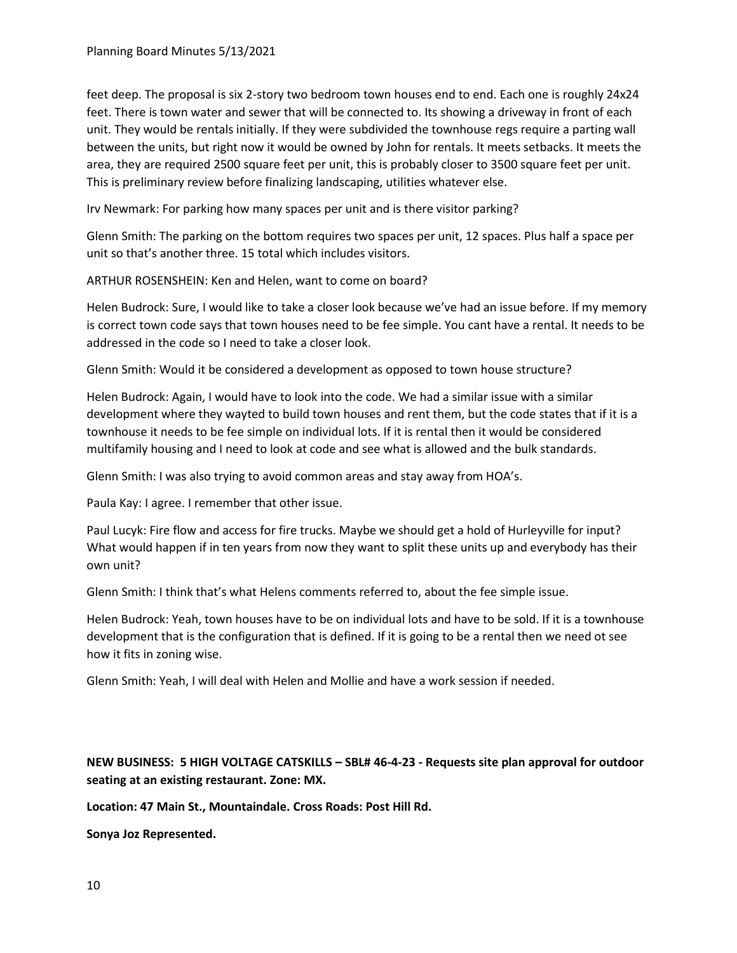feet deep. The proposal is six 2-story two bedroom town houses end to end. Each one is roughly 24x24 feet. There is town water and sewer that will be connected to. Its showing a driveway in front of each unit. They would be rentals initially. If they were subdivided the townhouse regs require a parting wall between the units, but right now it would be owned by John for rentals. It meets setbacks. It meets the area, they are required 2500 square feet per unit, this is probably closer to 3500 square feet per unit. This is preliminary review before finalizing landscaping, utilities whatever else.

Irv Newmark: For parking how many spaces per unit and is there visitor parking?

Glenn Smith: The parking on the bottom requires two spaces per unit, 12 spaces. Plus half a space per unit so that's another three. 15 total which includes visitors.

ARTHUR ROSENSHEIN: Ken and Helen, want to come on board?

Helen Budrock: Sure, I would like to take a closer look because we've had an issue before. If my memory is correct town code says that town houses need to be fee simple. You cant have a rental. It needs to be addressed in the code so I need to take a closer look.

Glenn Smith: Would it be considered a development as opposed to town house structure?

Helen Budrock: Again, I would have to look into the code. We had a similar issue with a similar development where they wayted to build town houses and rent them, but the code states that if it is a townhouse it needs to be fee simple on individual lots. If it is rental then it would be considered multifamily housing and I need to look at code and see what is allowed and the bulk standards.

Glenn Smith: I was also trying to avoid common areas and stay away from HOA's.

Paula Kay: I agree. I remember that other issue.

Paul Lucyk: Fire flow and access for fire trucks. Maybe we should get a hold of Hurleyville for input? What would happen if in ten years from now they want to split these units up and everybody has their own unit?

Glenn Smith: I think that's what Helens comments referred to, about the fee simple issue.

Helen Budrock: Yeah, town houses have to be on individual lots and have to be sold. If it is a townhouse development that is the configuration that is defined. If it is going to be a rental then we need ot see how it fits in zoning wise.

Glenn Smith: Yeah, I will deal with Helen and Mollie and have a work session if needed.

**NEW BUSINESS: 5 HIGH VOLTAGE CATSKILLS – SBL# 46-4-23 - Requests site plan approval for outdoor seating at an existing restaurant. Zone: MX.**

**Location: 47 Main St., Mountaindale. Cross Roads: Post Hill Rd.**

**Sonya Joz Represented.**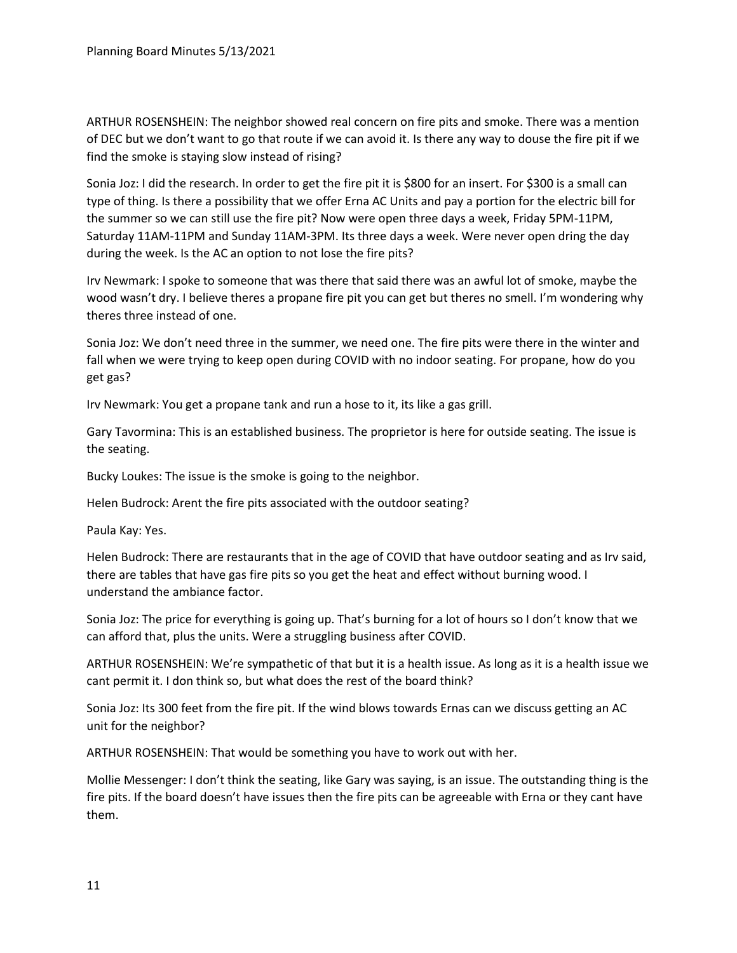ARTHUR ROSENSHEIN: The neighbor showed real concern on fire pits and smoke. There was a mention of DEC but we don't want to go that route if we can avoid it. Is there any way to douse the fire pit if we find the smoke is staying slow instead of rising?

Sonia Joz: I did the research. In order to get the fire pit it is \$800 for an insert. For \$300 is a small can type of thing. Is there a possibility that we offer Erna AC Units and pay a portion for the electric bill for the summer so we can still use the fire pit? Now were open three days a week, Friday 5PM-11PM, Saturday 11AM-11PM and Sunday 11AM-3PM. Its three days a week. Were never open dring the day during the week. Is the AC an option to not lose the fire pits?

Irv Newmark: I spoke to someone that was there that said there was an awful lot of smoke, maybe the wood wasn't dry. I believe theres a propane fire pit you can get but theres no smell. I'm wondering why theres three instead of one.

Sonia Joz: We don't need three in the summer, we need one. The fire pits were there in the winter and fall when we were trying to keep open during COVID with no indoor seating. For propane, how do you get gas?

Irv Newmark: You get a propane tank and run a hose to it, its like a gas grill.

Gary Tavormina: This is an established business. The proprietor is here for outside seating. The issue is the seating.

Bucky Loukes: The issue is the smoke is going to the neighbor.

Helen Budrock: Arent the fire pits associated with the outdoor seating?

Paula Kay: Yes.

Helen Budrock: There are restaurants that in the age of COVID that have outdoor seating and as Irv said, there are tables that have gas fire pits so you get the heat and effect without burning wood. I understand the ambiance factor.

Sonia Joz: The price for everything is going up. That's burning for a lot of hours so I don't know that we can afford that, plus the units. Were a struggling business after COVID.

ARTHUR ROSENSHEIN: We're sympathetic of that but it is a health issue. As long as it is a health issue we cant permit it. I don think so, but what does the rest of the board think?

Sonia Joz: Its 300 feet from the fire pit. If the wind blows towards Ernas can we discuss getting an AC unit for the neighbor?

ARTHUR ROSENSHEIN: That would be something you have to work out with her.

Mollie Messenger: I don't think the seating, like Gary was saying, is an issue. The outstanding thing is the fire pits. If the board doesn't have issues then the fire pits can be agreeable with Erna or they cant have them.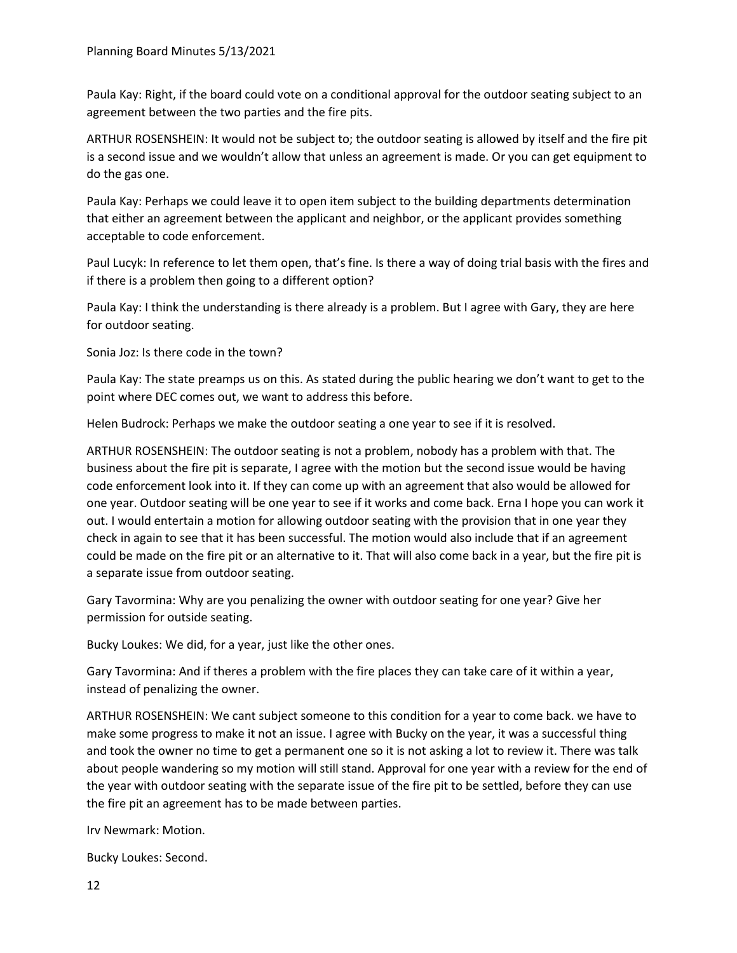Paula Kay: Right, if the board could vote on a conditional approval for the outdoor seating subject to an agreement between the two parties and the fire pits.

ARTHUR ROSENSHEIN: It would not be subject to; the outdoor seating is allowed by itself and the fire pit is a second issue and we wouldn't allow that unless an agreement is made. Or you can get equipment to do the gas one.

Paula Kay: Perhaps we could leave it to open item subject to the building departments determination that either an agreement between the applicant and neighbor, or the applicant provides something acceptable to code enforcement.

Paul Lucyk: In reference to let them open, that's fine. Is there a way of doing trial basis with the fires and if there is a problem then going to a different option?

Paula Kay: I think the understanding is there already is a problem. But I agree with Gary, they are here for outdoor seating.

Sonia Joz: Is there code in the town?

Paula Kay: The state preamps us on this. As stated during the public hearing we don't want to get to the point where DEC comes out, we want to address this before.

Helen Budrock: Perhaps we make the outdoor seating a one year to see if it is resolved.

ARTHUR ROSENSHEIN: The outdoor seating is not a problem, nobody has a problem with that. The business about the fire pit is separate, I agree with the motion but the second issue would be having code enforcement look into it. If they can come up with an agreement that also would be allowed for one year. Outdoor seating will be one year to see if it works and come back. Erna I hope you can work it out. I would entertain a motion for allowing outdoor seating with the provision that in one year they check in again to see that it has been successful. The motion would also include that if an agreement could be made on the fire pit or an alternative to it. That will also come back in a year, but the fire pit is a separate issue from outdoor seating.

Gary Tavormina: Why are you penalizing the owner with outdoor seating for one year? Give her permission for outside seating.

Bucky Loukes: We did, for a year, just like the other ones.

Gary Tavormina: And if theres a problem with the fire places they can take care of it within a year, instead of penalizing the owner.

ARTHUR ROSENSHEIN: We cant subject someone to this condition for a year to come back. we have to make some progress to make it not an issue. I agree with Bucky on the year, it was a successful thing and took the owner no time to get a permanent one so it is not asking a lot to review it. There was talk about people wandering so my motion will still stand. Approval for one year with a review for the end of the year with outdoor seating with the separate issue of the fire pit to be settled, before they can use the fire pit an agreement has to be made between parties.

Irv Newmark: Motion.

Bucky Loukes: Second.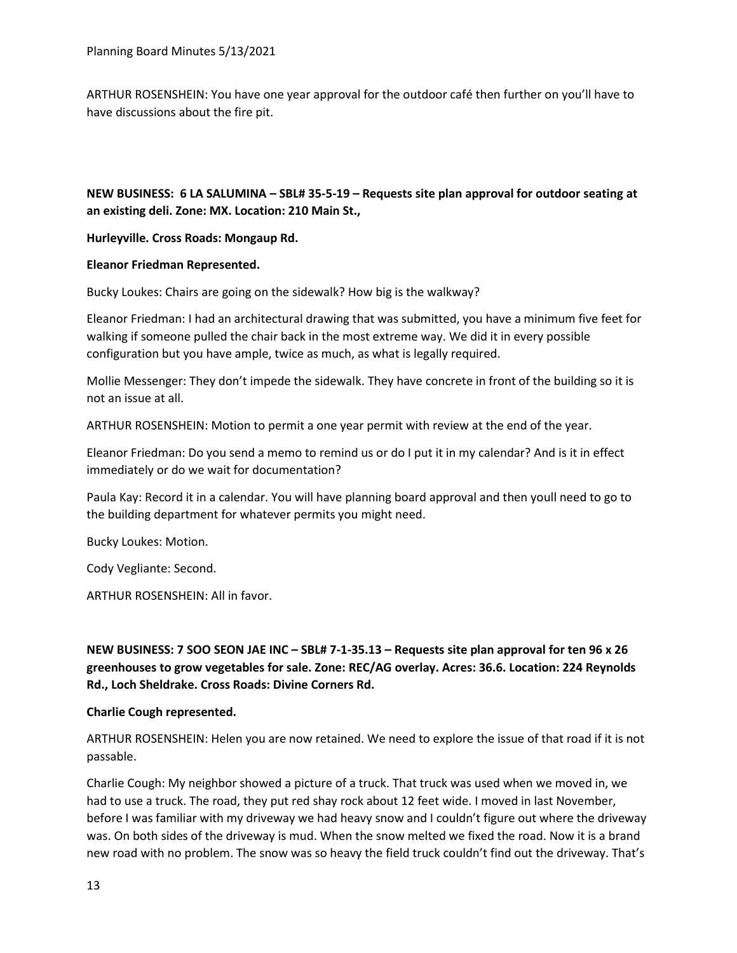ARTHUR ROSENSHEIN: You have one year approval for the outdoor café then further on you'll have to have discussions about the fire pit.

# **NEW BUSINESS: 6 LA SALUMINA – SBL# 35-5-19 – Requests site plan approval for outdoor seating at an existing deli. Zone: MX. Location: 210 Main St.,**

**Hurleyville. Cross Roads: Mongaup Rd.**

### **Eleanor Friedman Represented.**

Bucky Loukes: Chairs are going on the sidewalk? How big is the walkway?

Eleanor Friedman: I had an architectural drawing that was submitted, you have a minimum five feet for walking if someone pulled the chair back in the most extreme way. We did it in every possible configuration but you have ample, twice as much, as what is legally required.

Mollie Messenger: They don't impede the sidewalk. They have concrete in front of the building so it is not an issue at all.

ARTHUR ROSENSHEIN: Motion to permit a one year permit with review at the end of the year.

Eleanor Friedman: Do you send a memo to remind us or do I put it in my calendar? And is it in effect immediately or do we wait for documentation?

Paula Kay: Record it in a calendar. You will have planning board approval and then youll need to go to the building department for whatever permits you might need.

Bucky Loukes: Motion.

Cody Vegliante: Second.

ARTHUR ROSENSHEIN: All in favor.

**NEW BUSINESS: 7 SOO SEON JAE INC – SBL# 7-1-35.13 – Requests site plan approval for ten 96 x 26 greenhouses to grow vegetables for sale. Zone: REC/AG overlay. Acres: 36.6. Location: 224 Reynolds Rd., Loch Sheldrake. Cross Roads: Divine Corners Rd.**

## **Charlie Cough represented.**

ARTHUR ROSENSHEIN: Helen you are now retained. We need to explore the issue of that road if it is not passable.

Charlie Cough: My neighbor showed a picture of a truck. That truck was used when we moved in, we had to use a truck. The road, they put red shay rock about 12 feet wide. I moved in last November, before I was familiar with my driveway we had heavy snow and I couldn't figure out where the driveway was. On both sides of the driveway is mud. When the snow melted we fixed the road. Now it is a brand new road with no problem. The snow was so heavy the field truck couldn't find out the driveway. That's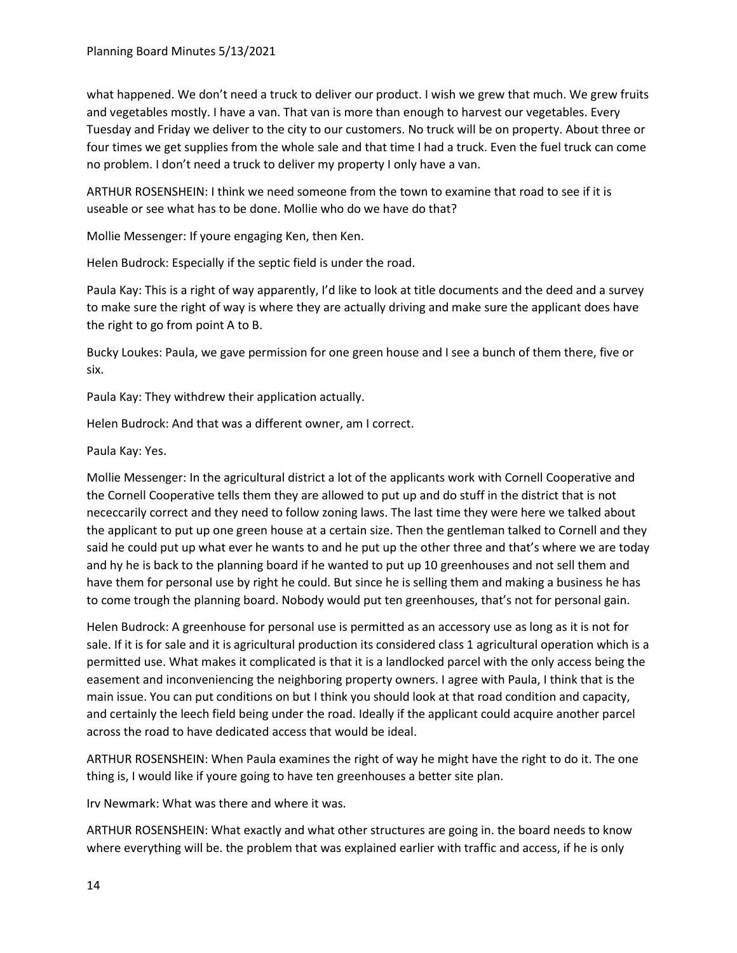what happened. We don't need a truck to deliver our product. I wish we grew that much. We grew fruits and vegetables mostly. I have a van. That van is more than enough to harvest our vegetables. Every Tuesday and Friday we deliver to the city to our customers. No truck will be on property. About three or four times we get supplies from the whole sale and that time I had a truck. Even the fuel truck can come no problem. I don't need a truck to deliver my property I only have a van.

ARTHUR ROSENSHEIN: I think we need someone from the town to examine that road to see if it is useable or see what has to be done. Mollie who do we have do that?

Mollie Messenger: If youre engaging Ken, then Ken.

Helen Budrock: Especially if the septic field is under the road.

Paula Kay: This is a right of way apparently, I'd like to look at title documents and the deed and a survey to make sure the right of way is where they are actually driving and make sure the applicant does have the right to go from point A to B.

Bucky Loukes: Paula, we gave permission for one green house and I see a bunch of them there, five or six.

Paula Kay: They withdrew their application actually.

Helen Budrock: And that was a different owner, am I correct.

Paula Kay: Yes.

Mollie Messenger: In the agricultural district a lot of the applicants work with Cornell Cooperative and the Cornell Cooperative tells them they are allowed to put up and do stuff in the district that is not nececcarily correct and they need to follow zoning laws. The last time they were here we talked about the applicant to put up one green house at a certain size. Then the gentleman talked to Cornell and they said he could put up what ever he wants to and he put up the other three and that's where we are today and hy he is back to the planning board if he wanted to put up 10 greenhouses and not sell them and have them for personal use by right he could. But since he is selling them and making a business he has to come trough the planning board. Nobody would put ten greenhouses, that's not for personal gain.

Helen Budrock: A greenhouse for personal use is permitted as an accessory use as long as it is not for sale. If it is for sale and it is agricultural production its considered class 1 agricultural operation which is a permitted use. What makes it complicated is that it is a landlocked parcel with the only access being the easement and inconveniencing the neighboring property owners. I agree with Paula, I think that is the main issue. You can put conditions on but I think you should look at that road condition and capacity, and certainly the leech field being under the road. Ideally if the applicant could acquire another parcel across the road to have dedicated access that would be ideal.

ARTHUR ROSENSHEIN: When Paula examines the right of way he might have the right to do it. The one thing is, I would like if youre going to have ten greenhouses a better site plan.

Irv Newmark: What was there and where it was.

ARTHUR ROSENSHEIN: What exactly and what other structures are going in. the board needs to know where everything will be. the problem that was explained earlier with traffic and access, if he is only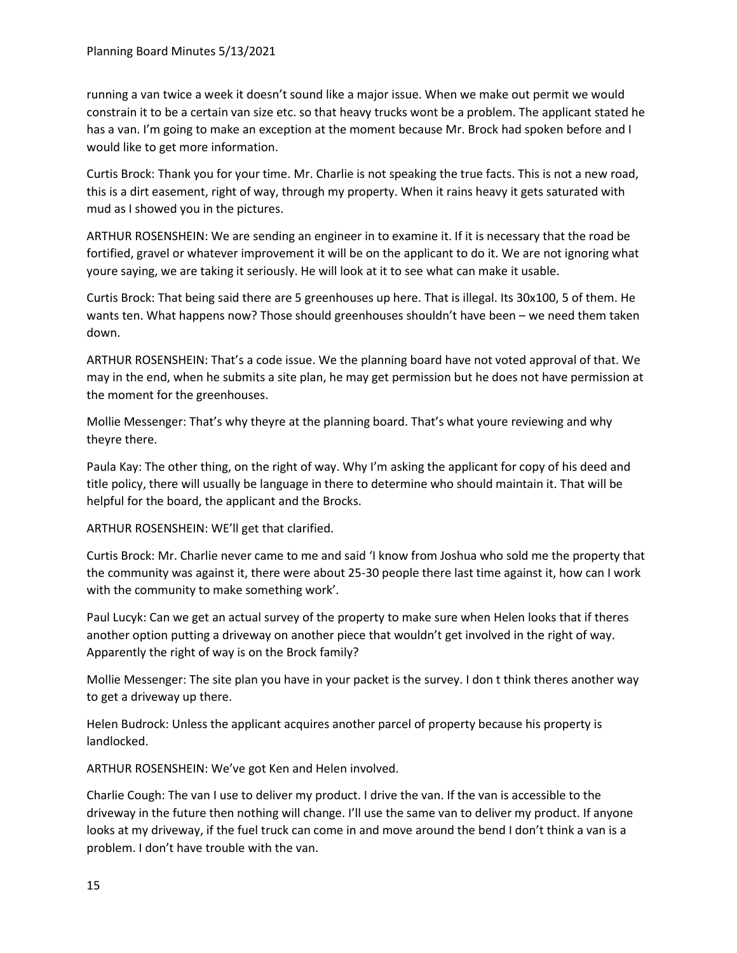running a van twice a week it doesn't sound like a major issue. When we make out permit we would constrain it to be a certain van size etc. so that heavy trucks wont be a problem. The applicant stated he has a van. I'm going to make an exception at the moment because Mr. Brock had spoken before and I would like to get more information.

Curtis Brock: Thank you for your time. Mr. Charlie is not speaking the true facts. This is not a new road, this is a dirt easement, right of way, through my property. When it rains heavy it gets saturated with mud as I showed you in the pictures.

ARTHUR ROSENSHEIN: We are sending an engineer in to examine it. If it is necessary that the road be fortified, gravel or whatever improvement it will be on the applicant to do it. We are not ignoring what youre saying, we are taking it seriously. He will look at it to see what can make it usable.

Curtis Brock: That being said there are 5 greenhouses up here. That is illegal. Its 30x100, 5 of them. He wants ten. What happens now? Those should greenhouses shouldn't have been – we need them taken down.

ARTHUR ROSENSHEIN: That's a code issue. We the planning board have not voted approval of that. We may in the end, when he submits a site plan, he may get permission but he does not have permission at the moment for the greenhouses.

Mollie Messenger: That's why theyre at the planning board. That's what youre reviewing and why theyre there.

Paula Kay: The other thing, on the right of way. Why I'm asking the applicant for copy of his deed and title policy, there will usually be language in there to determine who should maintain it. That will be helpful for the board, the applicant and the Brocks.

ARTHUR ROSENSHEIN: WE'll get that clarified.

Curtis Brock: Mr. Charlie never came to me and said 'I know from Joshua who sold me the property that the community was against it, there were about 25-30 people there last time against it, how can I work with the community to make something work'.

Paul Lucyk: Can we get an actual survey of the property to make sure when Helen looks that if theres another option putting a driveway on another piece that wouldn't get involved in the right of way. Apparently the right of way is on the Brock family?

Mollie Messenger: The site plan you have in your packet is the survey. I don t think theres another way to get a driveway up there.

Helen Budrock: Unless the applicant acquires another parcel of property because his property is landlocked.

ARTHUR ROSENSHEIN: We've got Ken and Helen involved.

Charlie Cough: The van I use to deliver my product. I drive the van. If the van is accessible to the driveway in the future then nothing will change. I'll use the same van to deliver my product. If anyone looks at my driveway, if the fuel truck can come in and move around the bend I don't think a van is a problem. I don't have trouble with the van.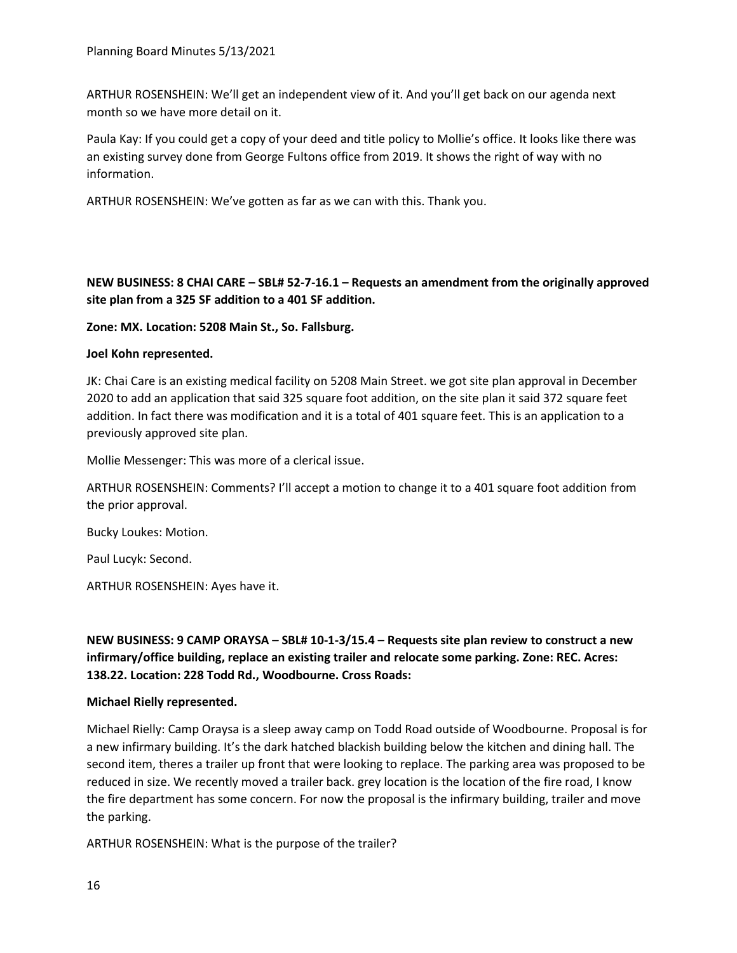ARTHUR ROSENSHEIN: We'll get an independent view of it. And you'll get back on our agenda next month so we have more detail on it.

Paula Kay: If you could get a copy of your deed and title policy to Mollie's office. It looks like there was an existing survey done from George Fultons office from 2019. It shows the right of way with no information.

ARTHUR ROSENSHEIN: We've gotten as far as we can with this. Thank you.

## **NEW BUSINESS: 8 CHAI CARE – SBL# 52-7-16.1 – Requests an amendment from the originally approved site plan from a 325 SF addition to a 401 SF addition.**

**Zone: MX. Location: 5208 Main St., So. Fallsburg.**

### **Joel Kohn represented.**

JK: Chai Care is an existing medical facility on 5208 Main Street. we got site plan approval in December 2020 to add an application that said 325 square foot addition, on the site plan it said 372 square feet addition. In fact there was modification and it is a total of 401 square feet. This is an application to a previously approved site plan.

Mollie Messenger: This was more of a clerical issue.

ARTHUR ROSENSHEIN: Comments? I'll accept a motion to change it to a 401 square foot addition from the prior approval.

Bucky Loukes: Motion.

Paul Lucyk: Second.

ARTHUR ROSENSHEIN: Ayes have it.

**NEW BUSINESS: 9 CAMP ORAYSA – SBL# 10-1-3/15.4 – Requests site plan review to construct a new infirmary/office building, replace an existing trailer and relocate some parking. Zone: REC. Acres: 138.22. Location: 228 Todd Rd., Woodbourne. Cross Roads:**

#### **Michael Rielly represented.**

Michael Rielly: Camp Oraysa is a sleep away camp on Todd Road outside of Woodbourne. Proposal is for a new infirmary building. It's the dark hatched blackish building below the kitchen and dining hall. The second item, theres a trailer up front that were looking to replace. The parking area was proposed to be reduced in size. We recently moved a trailer back. grey location is the location of the fire road, I know the fire department has some concern. For now the proposal is the infirmary building, trailer and move the parking.

ARTHUR ROSENSHEIN: What is the purpose of the trailer?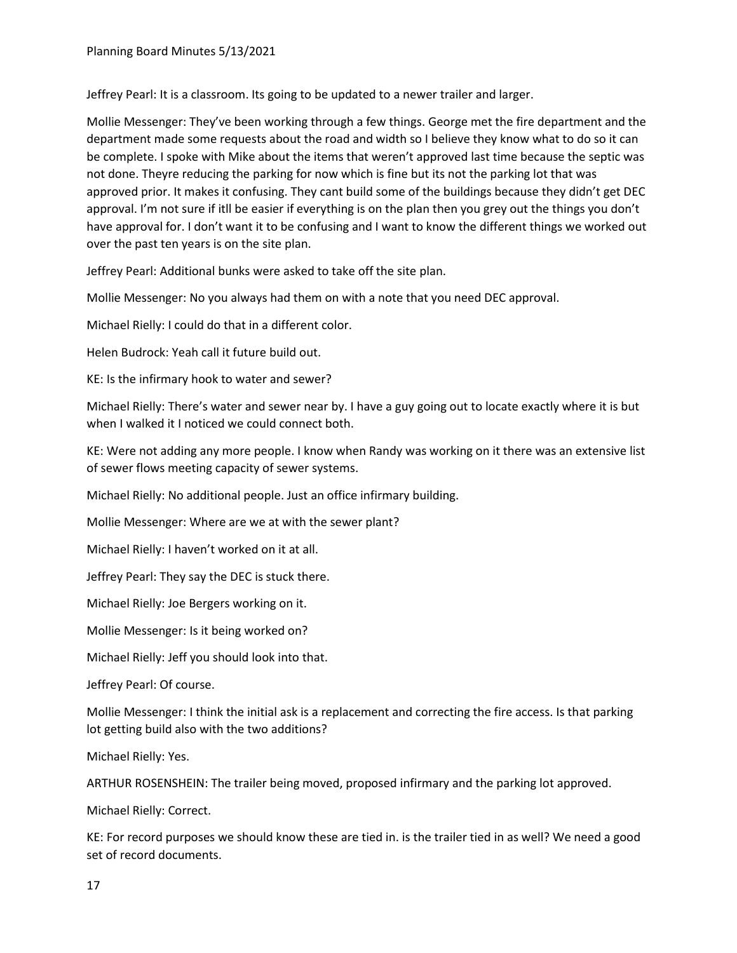Jeffrey Pearl: It is a classroom. Its going to be updated to a newer trailer and larger.

Mollie Messenger: They've been working through a few things. George met the fire department and the department made some requests about the road and width so I believe they know what to do so it can be complete. I spoke with Mike about the items that weren't approved last time because the septic was not done. Theyre reducing the parking for now which is fine but its not the parking lot that was approved prior. It makes it confusing. They cant build some of the buildings because they didn't get DEC approval. I'm not sure if itll be easier if everything is on the plan then you grey out the things you don't have approval for. I don't want it to be confusing and I want to know the different things we worked out over the past ten years is on the site plan.

Jeffrey Pearl: Additional bunks were asked to take off the site plan.

Mollie Messenger: No you always had them on with a note that you need DEC approval.

Michael Rielly: I could do that in a different color.

Helen Budrock: Yeah call it future build out.

KE: Is the infirmary hook to water and sewer?

Michael Rielly: There's water and sewer near by. I have a guy going out to locate exactly where it is but when I walked it I noticed we could connect both.

KE: Were not adding any more people. I know when Randy was working on it there was an extensive list of sewer flows meeting capacity of sewer systems.

Michael Rielly: No additional people. Just an office infirmary building.

Mollie Messenger: Where are we at with the sewer plant?

Michael Rielly: I haven't worked on it at all.

Jeffrey Pearl: They say the DEC is stuck there.

Michael Rielly: Joe Bergers working on it.

Mollie Messenger: Is it being worked on?

Michael Rielly: Jeff you should look into that.

Jeffrey Pearl: Of course.

Mollie Messenger: I think the initial ask is a replacement and correcting the fire access. Is that parking lot getting build also with the two additions?

Michael Rielly: Yes.

ARTHUR ROSENSHEIN: The trailer being moved, proposed infirmary and the parking lot approved.

Michael Rielly: Correct.

KE: For record purposes we should know these are tied in. is the trailer tied in as well? We need a good set of record documents.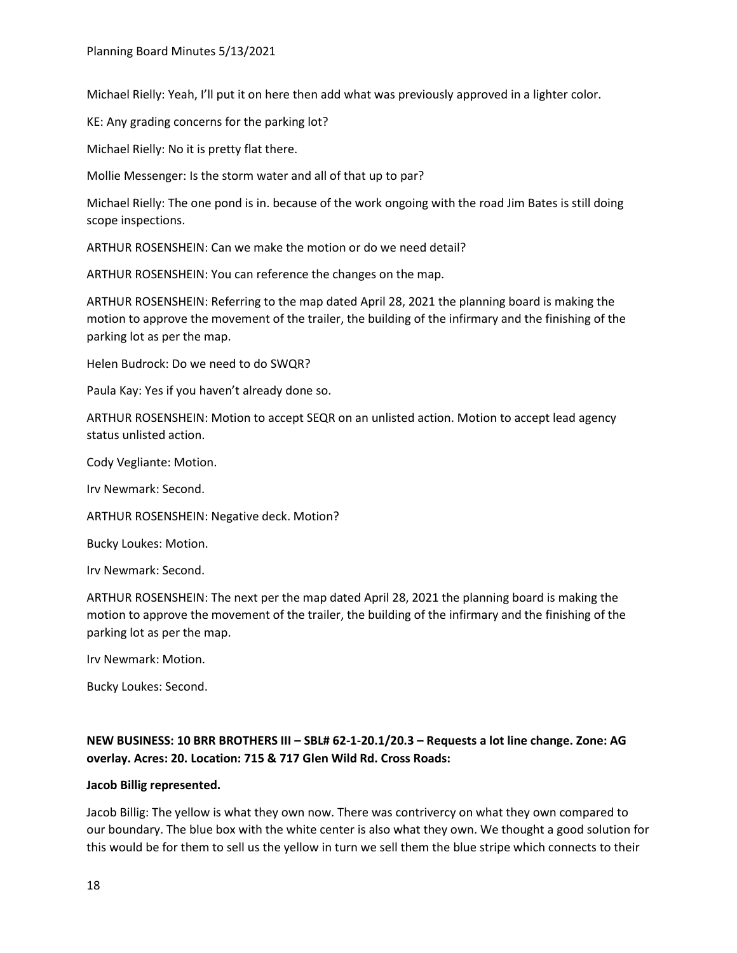Michael Rielly: Yeah, I'll put it on here then add what was previously approved in a lighter color.

KE: Any grading concerns for the parking lot?

Michael Rielly: No it is pretty flat there.

Mollie Messenger: Is the storm water and all of that up to par?

Michael Rielly: The one pond is in. because of the work ongoing with the road Jim Bates is still doing scope inspections.

ARTHUR ROSENSHEIN: Can we make the motion or do we need detail?

ARTHUR ROSENSHEIN: You can reference the changes on the map.

ARTHUR ROSENSHEIN: Referring to the map dated April 28, 2021 the planning board is making the motion to approve the movement of the trailer, the building of the infirmary and the finishing of the parking lot as per the map.

Helen Budrock: Do we need to do SWQR?

Paula Kay: Yes if you haven't already done so.

ARTHUR ROSENSHEIN: Motion to accept SEQR on an unlisted action. Motion to accept lead agency status unlisted action.

Cody Vegliante: Motion.

Irv Newmark: Second.

ARTHUR ROSENSHEIN: Negative deck. Motion?

Bucky Loukes: Motion.

Irv Newmark: Second.

ARTHUR ROSENSHEIN: The next per the map dated April 28, 2021 the planning board is making the motion to approve the movement of the trailer, the building of the infirmary and the finishing of the parking lot as per the map.

Irv Newmark: Motion.

Bucky Loukes: Second.

# **NEW BUSINESS: 10 BRR BROTHERS III – SBL# 62-1-20.1/20.3 – Requests a lot line change. Zone: AG overlay. Acres: 20. Location: 715 & 717 Glen Wild Rd. Cross Roads:**

#### **Jacob Billig represented.**

Jacob Billig: The yellow is what they own now. There was contrivercy on what they own compared to our boundary. The blue box with the white center is also what they own. We thought a good solution for this would be for them to sell us the yellow in turn we sell them the blue stripe which connects to their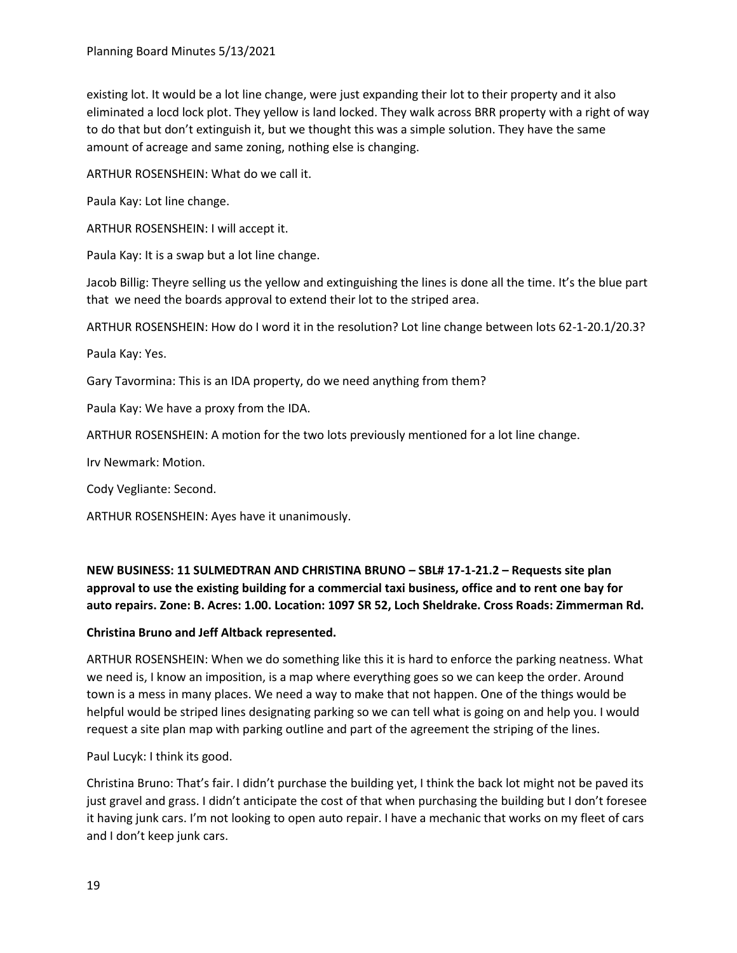existing lot. It would be a lot line change, were just expanding their lot to their property and it also eliminated a locd lock plot. They yellow is land locked. They walk across BRR property with a right of way to do that but don't extinguish it, but we thought this was a simple solution. They have the same amount of acreage and same zoning, nothing else is changing.

ARTHUR ROSENSHEIN: What do we call it.

Paula Kay: Lot line change.

ARTHUR ROSENSHEIN: I will accept it.

Paula Kay: It is a swap but a lot line change.

Jacob Billig: Theyre selling us the yellow and extinguishing the lines is done all the time. It's the blue part that we need the boards approval to extend their lot to the striped area.

ARTHUR ROSENSHEIN: How do I word it in the resolution? Lot line change between lots 62-1-20.1/20.3?

Paula Kay: Yes.

Gary Tavormina: This is an IDA property, do we need anything from them?

Paula Kay: We have a proxy from the IDA.

ARTHUR ROSENSHEIN: A motion for the two lots previously mentioned for a lot line change.

Irv Newmark: Motion.

Cody Vegliante: Second.

ARTHUR ROSENSHEIN: Ayes have it unanimously.

**NEW BUSINESS: 11 SULMEDTRAN AND CHRISTINA BRUNO – SBL# 17-1-21.2 – Requests site plan approval to use the existing building for a commercial taxi business, office and to rent one bay for auto repairs. Zone: B. Acres: 1.00. Location: 1097 SR 52, Loch Sheldrake. Cross Roads: Zimmerman Rd.**

## **Christina Bruno and Jeff Altback represented.**

ARTHUR ROSENSHEIN: When we do something like this it is hard to enforce the parking neatness. What we need is, I know an imposition, is a map where everything goes so we can keep the order. Around town is a mess in many places. We need a way to make that not happen. One of the things would be helpful would be striped lines designating parking so we can tell what is going on and help you. I would request a site plan map with parking outline and part of the agreement the striping of the lines.

Paul Lucyk: I think its good.

Christina Bruno: That's fair. I didn't purchase the building yet, I think the back lot might not be paved its just gravel and grass. I didn't anticipate the cost of that when purchasing the building but I don't foresee it having junk cars. I'm not looking to open auto repair. I have a mechanic that works on my fleet of cars and I don't keep junk cars.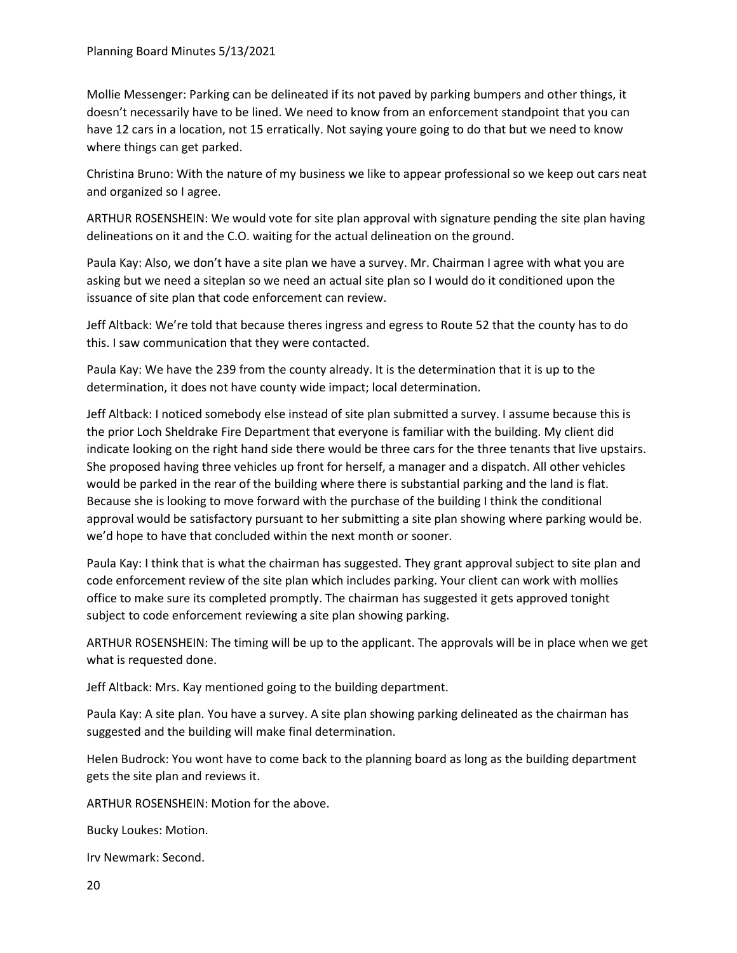Mollie Messenger: Parking can be delineated if its not paved by parking bumpers and other things, it doesn't necessarily have to be lined. We need to know from an enforcement standpoint that you can have 12 cars in a location, not 15 erratically. Not saying youre going to do that but we need to know where things can get parked.

Christina Bruno: With the nature of my business we like to appear professional so we keep out cars neat and organized so I agree.

ARTHUR ROSENSHEIN: We would vote for site plan approval with signature pending the site plan having delineations on it and the C.O. waiting for the actual delineation on the ground.

Paula Kay: Also, we don't have a site plan we have a survey. Mr. Chairman I agree with what you are asking but we need a siteplan so we need an actual site plan so I would do it conditioned upon the issuance of site plan that code enforcement can review.

Jeff Altback: We're told that because theres ingress and egress to Route 52 that the county has to do this. I saw communication that they were contacted.

Paula Kay: We have the 239 from the county already. It is the determination that it is up to the determination, it does not have county wide impact; local determination.

Jeff Altback: I noticed somebody else instead of site plan submitted a survey. I assume because this is the prior Loch Sheldrake Fire Department that everyone is familiar with the building. My client did indicate looking on the right hand side there would be three cars for the three tenants that live upstairs. She proposed having three vehicles up front for herself, a manager and a dispatch. All other vehicles would be parked in the rear of the building where there is substantial parking and the land is flat. Because she is looking to move forward with the purchase of the building I think the conditional approval would be satisfactory pursuant to her submitting a site plan showing where parking would be. we'd hope to have that concluded within the next month or sooner.

Paula Kay: I think that is what the chairman has suggested. They grant approval subject to site plan and code enforcement review of the site plan which includes parking. Your client can work with mollies office to make sure its completed promptly. The chairman has suggested it gets approved tonight subject to code enforcement reviewing a site plan showing parking.

ARTHUR ROSENSHEIN: The timing will be up to the applicant. The approvals will be in place when we get what is requested done.

Jeff Altback: Mrs. Kay mentioned going to the building department.

Paula Kay: A site plan. You have a survey. A site plan showing parking delineated as the chairman has suggested and the building will make final determination.

Helen Budrock: You wont have to come back to the planning board as long as the building department gets the site plan and reviews it.

ARTHUR ROSENSHEIN: Motion for the above.

Bucky Loukes: Motion.

Irv Newmark: Second.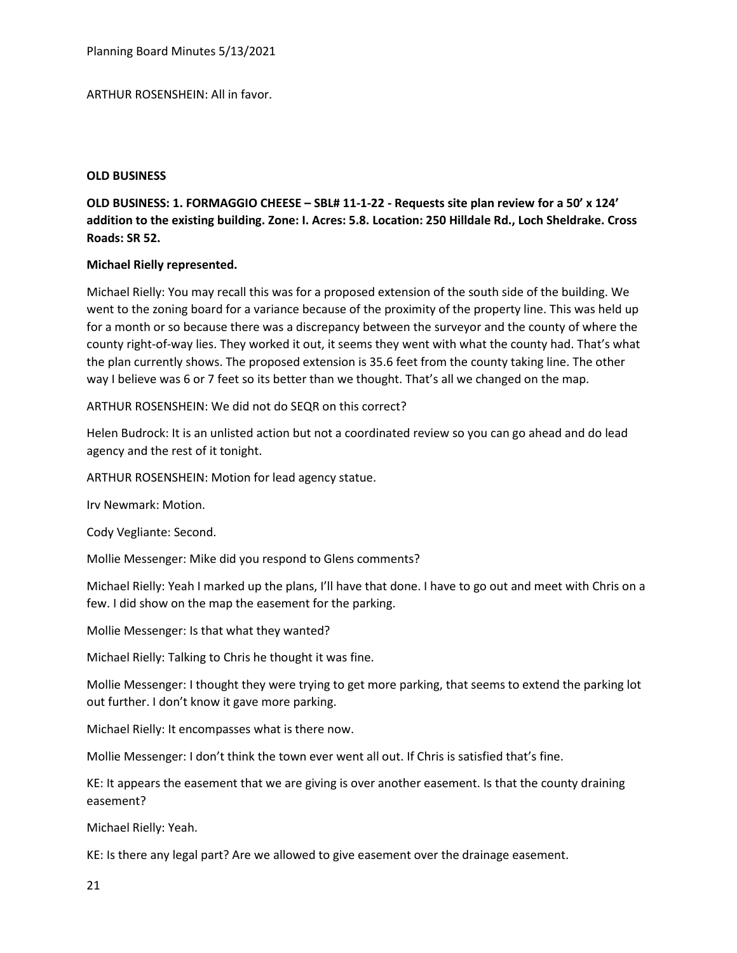Planning Board Minutes 5/13/2021

### ARTHUR ROSENSHEIN: All in favor.

#### **OLD BUSINESS**

# **OLD BUSINESS: 1. FORMAGGIO CHEESE – SBL# 11-1-22 - Requests site plan review for a 50' x 124' addition to the existing building. Zone: I. Acres: 5.8. Location: 250 Hilldale Rd., Loch Sheldrake. Cross Roads: SR 52.**

## **Michael Rielly represented.**

Michael Rielly: You may recall this was for a proposed extension of the south side of the building. We went to the zoning board for a variance because of the proximity of the property line. This was held up for a month or so because there was a discrepancy between the surveyor and the county of where the county right-of-way lies. They worked it out, it seems they went with what the county had. That's what the plan currently shows. The proposed extension is 35.6 feet from the county taking line. The other way I believe was 6 or 7 feet so its better than we thought. That's all we changed on the map.

ARTHUR ROSENSHEIN: We did not do SEQR on this correct?

Helen Budrock: It is an unlisted action but not a coordinated review so you can go ahead and do lead agency and the rest of it tonight.

ARTHUR ROSENSHEIN: Motion for lead agency statue.

Irv Newmark: Motion.

Cody Vegliante: Second.

Mollie Messenger: Mike did you respond to Glens comments?

Michael Rielly: Yeah I marked up the plans, I'll have that done. I have to go out and meet with Chris on a few. I did show on the map the easement for the parking.

Mollie Messenger: Is that what they wanted?

Michael Rielly: Talking to Chris he thought it was fine.

Mollie Messenger: I thought they were trying to get more parking, that seems to extend the parking lot out further. I don't know it gave more parking.

Michael Rielly: It encompasses what is there now.

Mollie Messenger: I don't think the town ever went all out. If Chris is satisfied that's fine.

KE: It appears the easement that we are giving is over another easement. Is that the county draining easement?

Michael Rielly: Yeah.

KE: Is there any legal part? Are we allowed to give easement over the drainage easement.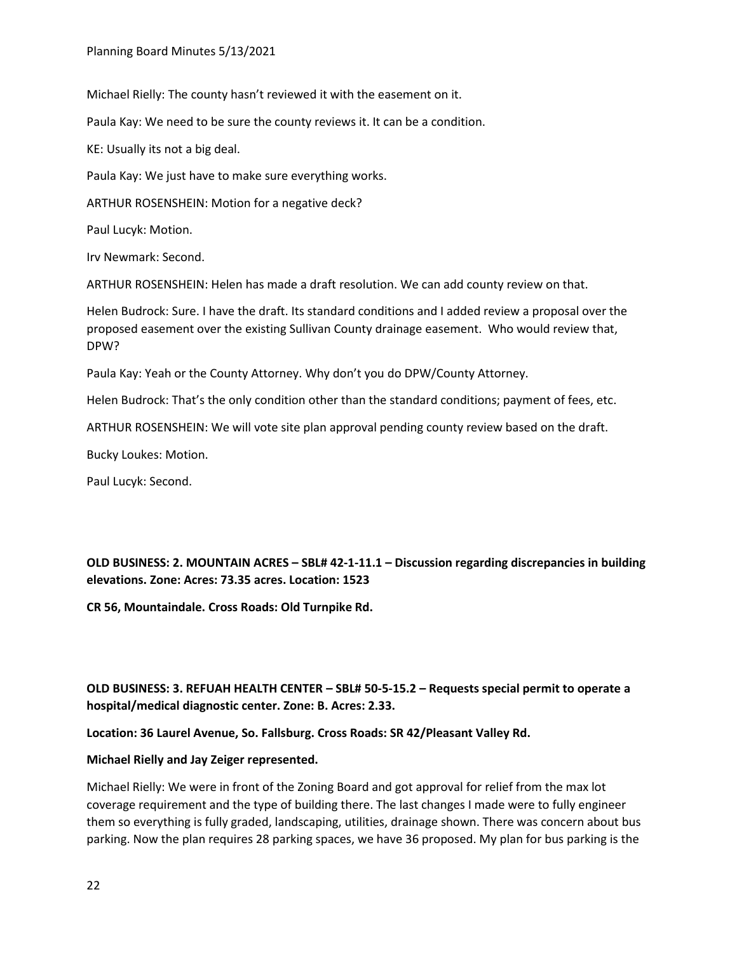Michael Rielly: The county hasn't reviewed it with the easement on it.

Paula Kay: We need to be sure the county reviews it. It can be a condition.

KE: Usually its not a big deal.

Paula Kay: We just have to make sure everything works.

ARTHUR ROSENSHEIN: Motion for a negative deck?

Paul Lucyk: Motion.

Irv Newmark: Second.

ARTHUR ROSENSHEIN: Helen has made a draft resolution. We can add county review on that.

Helen Budrock: Sure. I have the draft. Its standard conditions and I added review a proposal over the proposed easement over the existing Sullivan County drainage easement. Who would review that, DPW?

Paula Kay: Yeah or the County Attorney. Why don't you do DPW/County Attorney.

Helen Budrock: That's the only condition other than the standard conditions; payment of fees, etc.

ARTHUR ROSENSHEIN: We will vote site plan approval pending county review based on the draft.

Bucky Loukes: Motion.

Paul Lucyk: Second.

**OLD BUSINESS: 2. MOUNTAIN ACRES – SBL# 42-1-11.1 – Discussion regarding discrepancies in building elevations. Zone: Acres: 73.35 acres. Location: 1523**

**CR 56, Mountaindale. Cross Roads: Old Turnpike Rd.**

# **OLD BUSINESS: 3. REFUAH HEALTH CENTER – SBL# 50-5-15.2 – Requests special permit to operate a hospital/medical diagnostic center. Zone: B. Acres: 2.33.**

**Location: 36 Laurel Avenue, So. Fallsburg. Cross Roads: SR 42/Pleasant Valley Rd.**

## **Michael Rielly and Jay Zeiger represented.**

Michael Rielly: We were in front of the Zoning Board and got approval for relief from the max lot coverage requirement and the type of building there. The last changes I made were to fully engineer them so everything is fully graded, landscaping, utilities, drainage shown. There was concern about bus parking. Now the plan requires 28 parking spaces, we have 36 proposed. My plan for bus parking is the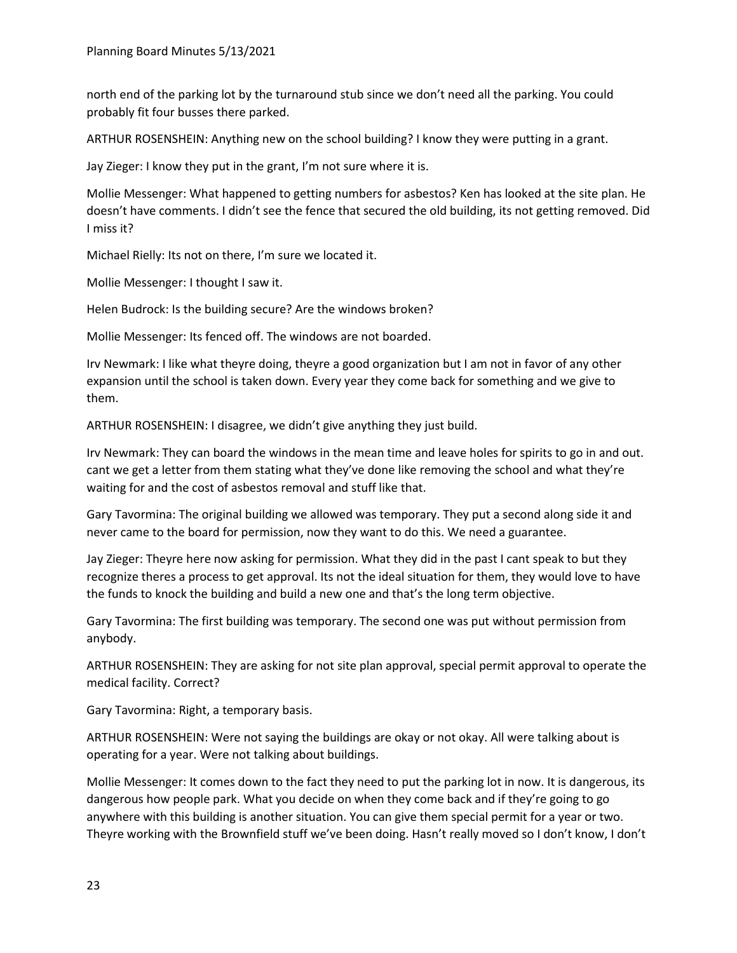north end of the parking lot by the turnaround stub since we don't need all the parking. You could probably fit four busses there parked.

ARTHUR ROSENSHEIN: Anything new on the school building? I know they were putting in a grant.

Jay Zieger: I know they put in the grant, I'm not sure where it is.

Mollie Messenger: What happened to getting numbers for asbestos? Ken has looked at the site plan. He doesn't have comments. I didn't see the fence that secured the old building, its not getting removed. Did I miss it?

Michael Rielly: Its not on there, I'm sure we located it.

Mollie Messenger: I thought I saw it.

Helen Budrock: Is the building secure? Are the windows broken?

Mollie Messenger: Its fenced off. The windows are not boarded.

Irv Newmark: I like what theyre doing, theyre a good organization but I am not in favor of any other expansion until the school is taken down. Every year they come back for something and we give to them.

ARTHUR ROSENSHEIN: I disagree, we didn't give anything they just build.

Irv Newmark: They can board the windows in the mean time and leave holes for spirits to go in and out. cant we get a letter from them stating what they've done like removing the school and what they're waiting for and the cost of asbestos removal and stuff like that.

Gary Tavormina: The original building we allowed was temporary. They put a second along side it and never came to the board for permission, now they want to do this. We need a guarantee.

Jay Zieger: Theyre here now asking for permission. What they did in the past I cant speak to but they recognize theres a process to get approval. Its not the ideal situation for them, they would love to have the funds to knock the building and build a new one and that's the long term objective.

Gary Tavormina: The first building was temporary. The second one was put without permission from anybody.

ARTHUR ROSENSHEIN: They are asking for not site plan approval, special permit approval to operate the medical facility. Correct?

Gary Tavormina: Right, a temporary basis.

ARTHUR ROSENSHEIN: Were not saying the buildings are okay or not okay. All were talking about is operating for a year. Were not talking about buildings.

Mollie Messenger: It comes down to the fact they need to put the parking lot in now. It is dangerous, its dangerous how people park. What you decide on when they come back and if they're going to go anywhere with this building is another situation. You can give them special permit for a year or two. Theyre working with the Brownfield stuff we've been doing. Hasn't really moved so I don't know, I don't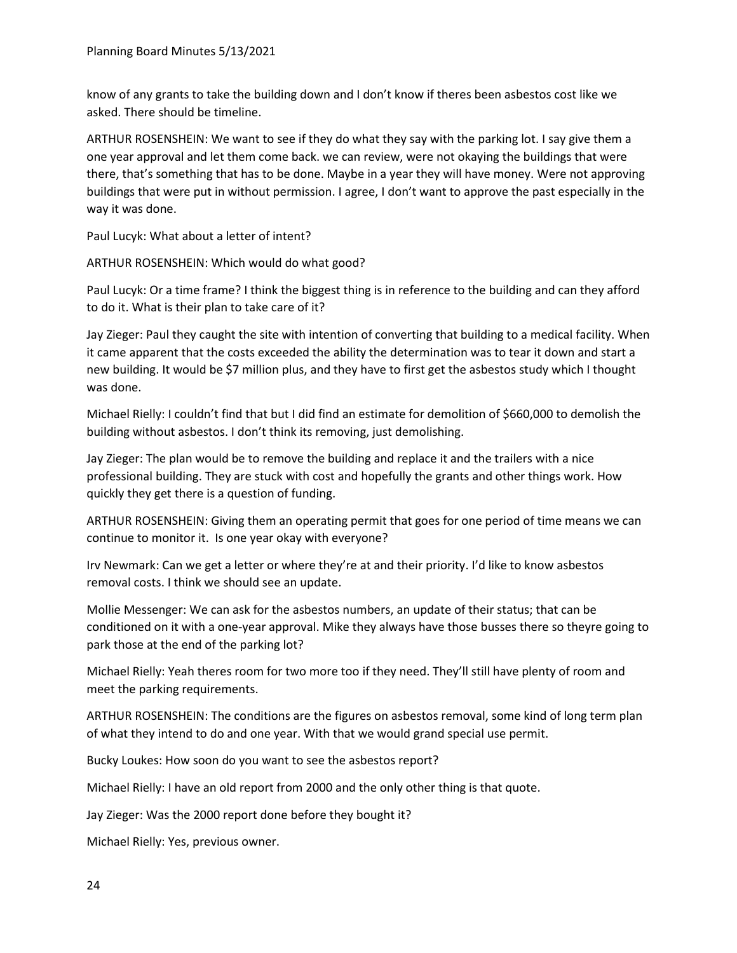know of any grants to take the building down and I don't know if theres been asbestos cost like we asked. There should be timeline.

ARTHUR ROSENSHEIN: We want to see if they do what they say with the parking lot. I say give them a one year approval and let them come back. we can review, were not okaying the buildings that were there, that's something that has to be done. Maybe in a year they will have money. Were not approving buildings that were put in without permission. I agree, I don't want to approve the past especially in the way it was done.

Paul Lucyk: What about a letter of intent?

ARTHUR ROSENSHEIN: Which would do what good?

Paul Lucyk: Or a time frame? I think the biggest thing is in reference to the building and can they afford to do it. What is their plan to take care of it?

Jay Zieger: Paul they caught the site with intention of converting that building to a medical facility. When it came apparent that the costs exceeded the ability the determination was to tear it down and start a new building. It would be \$7 million plus, and they have to first get the asbestos study which I thought was done.

Michael Rielly: I couldn't find that but I did find an estimate for demolition of \$660,000 to demolish the building without asbestos. I don't think its removing, just demolishing.

Jay Zieger: The plan would be to remove the building and replace it and the trailers with a nice professional building. They are stuck with cost and hopefully the grants and other things work. How quickly they get there is a question of funding.

ARTHUR ROSENSHEIN: Giving them an operating permit that goes for one period of time means we can continue to monitor it. Is one year okay with everyone?

Irv Newmark: Can we get a letter or where they're at and their priority. I'd like to know asbestos removal costs. I think we should see an update.

Mollie Messenger: We can ask for the asbestos numbers, an update of their status; that can be conditioned on it with a one-year approval. Mike they always have those busses there so theyre going to park those at the end of the parking lot?

Michael Rielly: Yeah theres room for two more too if they need. They'll still have plenty of room and meet the parking requirements.

ARTHUR ROSENSHEIN: The conditions are the figures on asbestos removal, some kind of long term plan of what they intend to do and one year. With that we would grand special use permit.

Bucky Loukes: How soon do you want to see the asbestos report?

Michael Rielly: I have an old report from 2000 and the only other thing is that quote.

Jay Zieger: Was the 2000 report done before they bought it?

Michael Rielly: Yes, previous owner.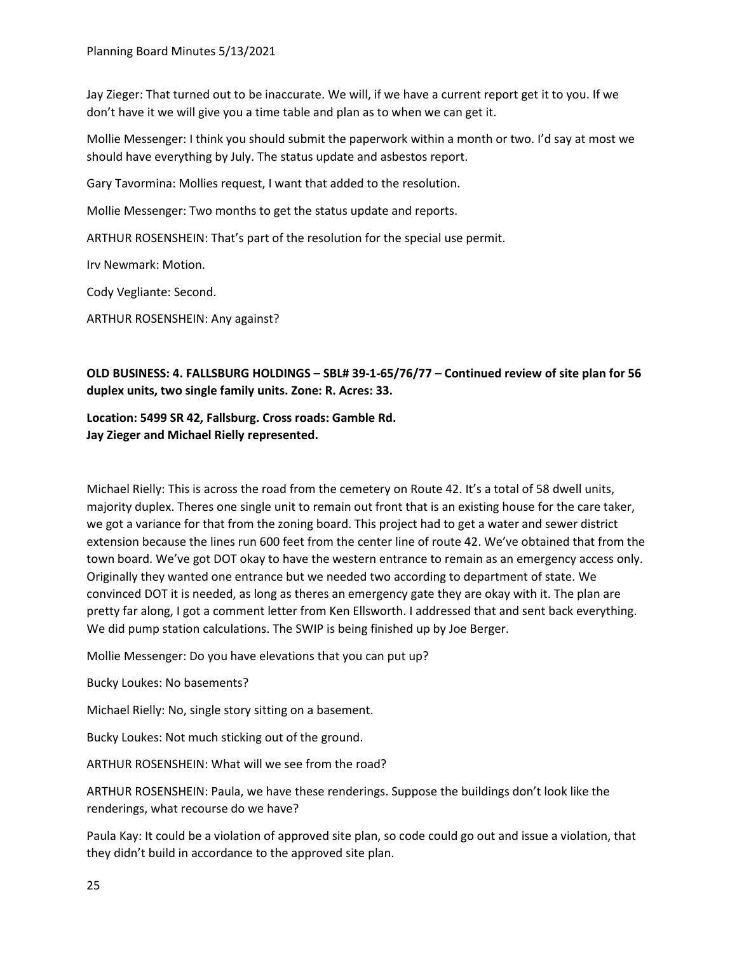Jay Zieger: That turned out to be inaccurate. We will, if we have a current report get it to you. If we don't have it we will give you a time table and plan as to when we can get it.

Mollie Messenger: I think you should submit the paperwork within a month or two. I'd say at most we should have everything by July. The status update and asbestos report.

Gary Tavormina: Mollies request, I want that added to the resolution.

Mollie Messenger: Two months to get the status update and reports.

ARTHUR ROSENSHEIN: That's part of the resolution for the special use permit.

Irv Newmark: Motion.

Cody Vegliante: Second.

ARTHUR ROSENSHEIN: Any against?

# **OLD BUSINESS: 4. FALLSBURG HOLDINGS – SBL# 39-1-65/76/77 – Continued review of site plan for 56 duplex units, two single family units. Zone: R. Acres: 33.**

**Location: 5499 SR 42, Fallsburg. Cross roads: Gamble Rd. Jay Zieger and Michael Rielly represented.**

Michael Rielly: This is across the road from the cemetery on Route 42. It's a total of 58 dwell units, majority duplex. Theres one single unit to remain out front that is an existing house for the care taker, we got a variance for that from the zoning board. This project had to get a water and sewer district extension because the lines run 600 feet from the center line of route 42. We've obtained that from the town board. We've got DOT okay to have the western entrance to remain as an emergency access only. Originally they wanted one entrance but we needed two according to department of state. We convinced DOT it is needed, as long as theres an emergency gate they are okay with it. The plan are pretty far along, I got a comment letter from Ken Ellsworth. I addressed that and sent back everything. We did pump station calculations. The SWIP is being finished up by Joe Berger.

Mollie Messenger: Do you have elevations that you can put up?

Bucky Loukes: No basements?

Michael Rielly: No, single story sitting on a basement.

Bucky Loukes: Not much sticking out of the ground.

ARTHUR ROSENSHEIN: What will we see from the road?

ARTHUR ROSENSHEIN: Paula, we have these renderings. Suppose the buildings don't look like the renderings, what recourse do we have?

Paula Kay: It could be a violation of approved site plan, so code could go out and issue a violation, that they didn't build in accordance to the approved site plan.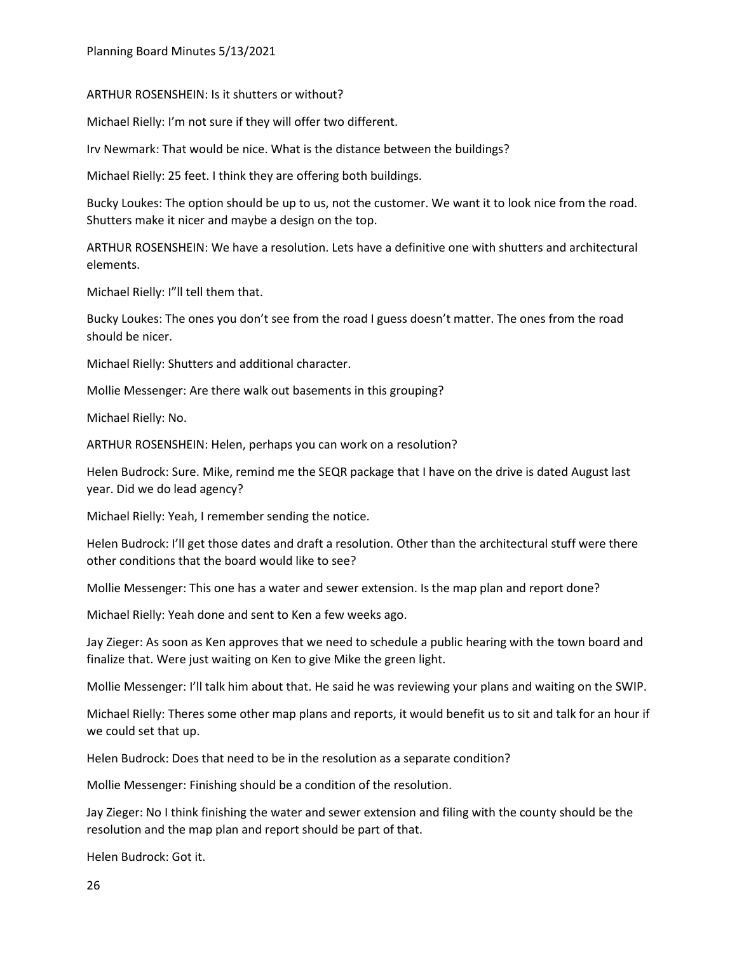ARTHUR ROSENSHEIN: Is it shutters or without?

Michael Rielly: I'm not sure if they will offer two different.

Irv Newmark: That would be nice. What is the distance between the buildings?

Michael Rielly: 25 feet. I think they are offering both buildings.

Bucky Loukes: The option should be up to us, not the customer. We want it to look nice from the road. Shutters make it nicer and maybe a design on the top.

ARTHUR ROSENSHEIN: We have a resolution. Lets have a definitive one with shutters and architectural elements.

Michael Rielly: I"ll tell them that.

Bucky Loukes: The ones you don't see from the road I guess doesn't matter. The ones from the road should be nicer.

Michael Rielly: Shutters and additional character.

Mollie Messenger: Are there walk out basements in this grouping?

Michael Rielly: No.

ARTHUR ROSENSHEIN: Helen, perhaps you can work on a resolution?

Helen Budrock: Sure. Mike, remind me the SEQR package that I have on the drive is dated August last year. Did we do lead agency?

Michael Rielly: Yeah, I remember sending the notice.

Helen Budrock: I'll get those dates and draft a resolution. Other than the architectural stuff were there other conditions that the board would like to see?

Mollie Messenger: This one has a water and sewer extension. Is the map plan and report done?

Michael Rielly: Yeah done and sent to Ken a few weeks ago.

Jay Zieger: As soon as Ken approves that we need to schedule a public hearing with the town board and finalize that. Were just waiting on Ken to give Mike the green light.

Mollie Messenger: I'll talk him about that. He said he was reviewing your plans and waiting on the SWIP.

Michael Rielly: Theres some other map plans and reports, it would benefit us to sit and talk for an hour if we could set that up.

Helen Budrock: Does that need to be in the resolution as a separate condition?

Mollie Messenger: Finishing should be a condition of the resolution.

Jay Zieger: No I think finishing the water and sewer extension and filing with the county should be the resolution and the map plan and report should be part of that.

Helen Budrock: Got it.